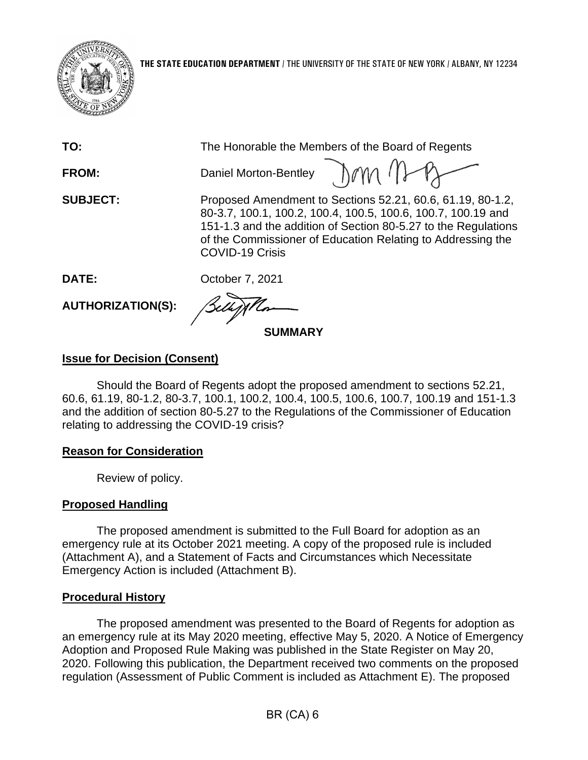

| TO:             | The Honorable the Members of the Board of Regents                                                                                                                                                                                                                                     |
|-----------------|---------------------------------------------------------------------------------------------------------------------------------------------------------------------------------------------------------------------------------------------------------------------------------------|
| <b>FROM:</b>    | Daniel Morton-Bentley JAM (1)                                                                                                                                                                                                                                                         |
| <b>SUBJECT:</b> | Proposed Amendment to Sections 52.21, 60.6, 61.19, 80-1.2,<br>80-3.7, 100.1, 100.2, 100.4, 100.5, 100.6, 100.7, 100.19 and<br>151-1.3 and the addition of Section 80-5.27 to the Regulations<br>of the Commissioner of Education Relating to Addressing the<br><b>COVID-19 Crisis</b> |
| DATE:           | October 7, 2021                                                                                                                                                                                                                                                                       |
|                 | $\sim$                                                                                                                                                                                                                                                                                |

**AUTHORIZATION(S):**

**SUMMARY**

# **Issue for Decision (Consent)**

Should the Board of Regents adopt the proposed amendment to sections 52.21, 60.6, 61.19, 80-1.2, 80-3.7, 100.1, 100.2, 100.4, 100.5, 100.6, 100.7, 100.19 and 151-1.3 and the addition of section 80-5.27 to the Regulations of the Commissioner of Education relating to addressing the COVID-19 crisis?

# **Reason for Consideration**

Review of policy.

# **Proposed Handling**

The proposed amendment is submitted to the Full Board for adoption as an emergency rule at its October 2021 meeting. A copy of the proposed rule is included (Attachment A), and a Statement of Facts and Circumstances which Necessitate Emergency Action is included (Attachment B).

# **Procedural History**

The proposed amendment was presented to the Board of Regents for adoption as an emergency rule at its May 2020 meeting, effective May 5, 2020. A Notice of Emergency Adoption and Proposed Rule Making was published in the State Register on May 20, 2020. Following this publication, the Department received two comments on the proposed regulation (Assessment of Public Comment is included as Attachment E). The proposed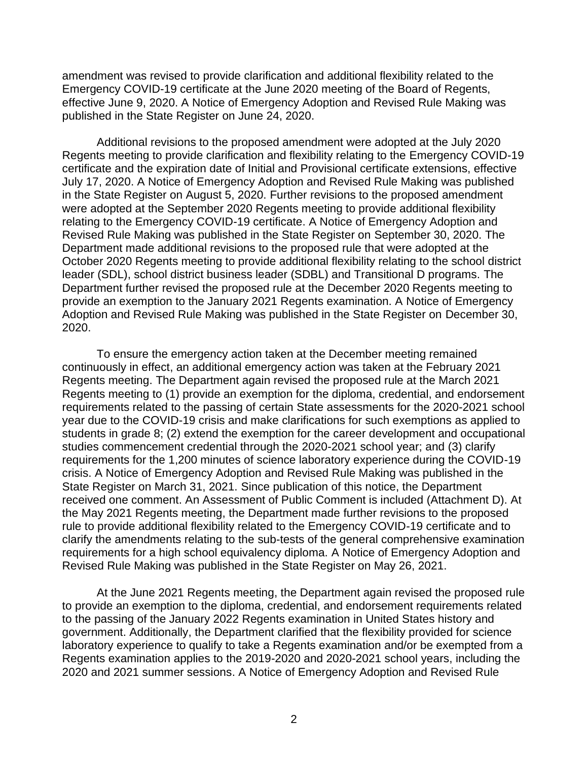amendment was revised to provide clarification and additional flexibility related to the Emergency COVID-19 certificate at the June 2020 meeting of the Board of Regents, effective June 9, 2020. A Notice of Emergency Adoption and Revised Rule Making was published in the State Register on June 24, 2020.

Additional revisions to the proposed amendment were adopted at the July 2020 Regents meeting to provide clarification and flexibility relating to the Emergency COVID-19 certificate and the expiration date of Initial and Provisional certificate extensions, effective July 17, 2020. A Notice of Emergency Adoption and Revised Rule Making was published in the State Register on August 5, 2020. Further revisions to the proposed amendment were adopted at the September 2020 Regents meeting to provide additional flexibility relating to the Emergency COVID-19 certificate. A Notice of Emergency Adoption and Revised Rule Making was published in the State Register on September 30, 2020. The Department made additional revisions to the proposed rule that were adopted at the October 2020 Regents meeting to provide additional flexibility relating to the school district leader (SDL), school district business leader (SDBL) and Transitional D programs. The Department further revised the proposed rule at the December 2020 Regents meeting to provide an exemption to the January 2021 Regents examination. A Notice of Emergency Adoption and Revised Rule Making was published in the State Register on December 30, 2020.

To ensure the emergency action taken at the December meeting remained continuously in effect, an additional emergency action was taken at the February 2021 Regents meeting. The Department again revised the proposed rule at the March 2021 Regents meeting to (1) provide an exemption for the diploma, credential, and endorsement requirements related to the passing of certain State assessments for the 2020-2021 school year due to the COVID-19 crisis and make clarifications for such exemptions as applied to students in grade 8; (2) extend the exemption for the career development and occupational studies commencement credential through the 2020-2021 school year; and (3) clarify requirements for the 1,200 minutes of science laboratory experience during the COVID-19 crisis. A Notice of Emergency Adoption and Revised Rule Making was published in the State Register on March 31, 2021. Since publication of this notice, the Department received one comment. An Assessment of Public Comment is included (Attachment D). At the May 2021 Regents meeting, the Department made further revisions to the proposed rule to provide additional flexibility related to the Emergency COVID-19 certificate and to clarify the amendments relating to the sub-tests of the general comprehensive examination requirements for a high school equivalency diploma. A Notice of Emergency Adoption and Revised Rule Making was published in the State Register on May 26, 2021.

At the June 2021 Regents meeting, the Department again revised the proposed rule to provide an exemption to the diploma, credential, and endorsement requirements related to the passing of the January 2022 Regents examination in United States history and government. Additionally, the Department clarified that the flexibility provided for science laboratory experience to qualify to take a Regents examination and/or be exempted from a Regents examination applies to the 2019-2020 and 2020-2021 school years, including the 2020 and 2021 summer sessions. A Notice of Emergency Adoption and Revised Rule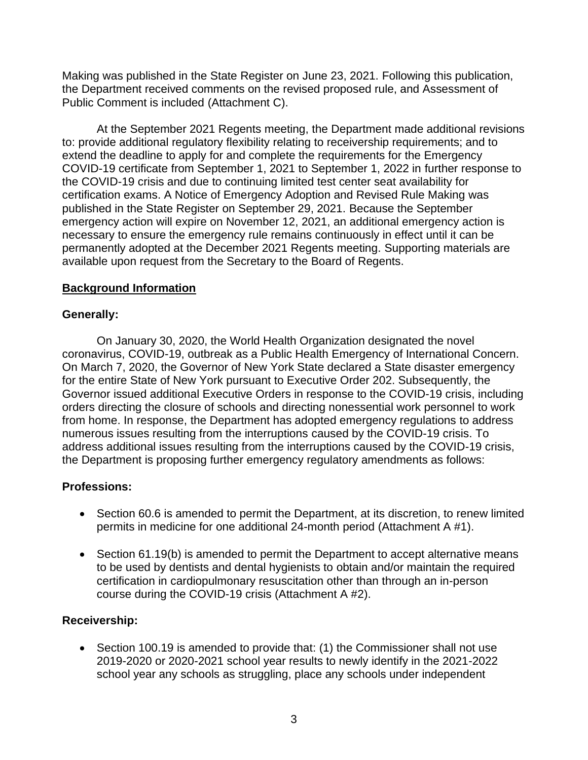Making was published in the State Register on June 23, 2021. Following this publication, the Department received comments on the revised proposed rule, and Assessment of Public Comment is included (Attachment C).

At the September 2021 Regents meeting, the Department made additional revisions to: provide additional regulatory flexibility relating to receivership requirements; and to extend the deadline to apply for and complete the requirements for the Emergency COVID-19 certificate from September 1, 2021 to September 1, 2022 in further response to the COVID-19 crisis and due to continuing limited test center seat availability for certification exams. A Notice of Emergency Adoption and Revised Rule Making was published in the State Register on September 29, 2021. Because the September emergency action will expire on November 12, 2021, an additional emergency action is necessary to ensure the emergency rule remains continuously in effect until it can be permanently adopted at the December 2021 Regents meeting. Supporting materials are available upon request from the Secretary to the Board of Regents.

### **Background Information**

### **Generally:**

On January 30, 2020, the World Health Organization designated the novel coronavirus, COVID-19, outbreak as a Public Health Emergency of International Concern. On March 7, 2020, the Governor of New York State declared a State disaster emergency for the entire State of New York pursuant to Executive Order 202. Subsequently, the Governor issued additional Executive Orders in response to the COVID-19 crisis, including orders directing the closure of schools and directing nonessential work personnel to work from home. In response, the Department has adopted emergency regulations to address numerous issues resulting from the interruptions caused by the COVID-19 crisis. To address additional issues resulting from the interruptions caused by the COVID-19 crisis, the Department is proposing further emergency regulatory amendments as follows:

# **Professions:**

- Section 60.6 is amended to permit the Department, at its discretion, to renew limited permits in medicine for one additional 24-month period (Attachment A #1).
- Section 61.19(b) is amended to permit the Department to accept alternative means to be used by dentists and dental hygienists to obtain and/or maintain the required certification in cardiopulmonary resuscitation other than through an in-person course during the COVID-19 crisis (Attachment A #2).

### **Receivership:**

• Section 100.19 is amended to provide that: (1) the Commissioner shall not use 2019-2020 or 2020-2021 school year results to newly identify in the 2021-2022 school year any schools as struggling, place any schools under independent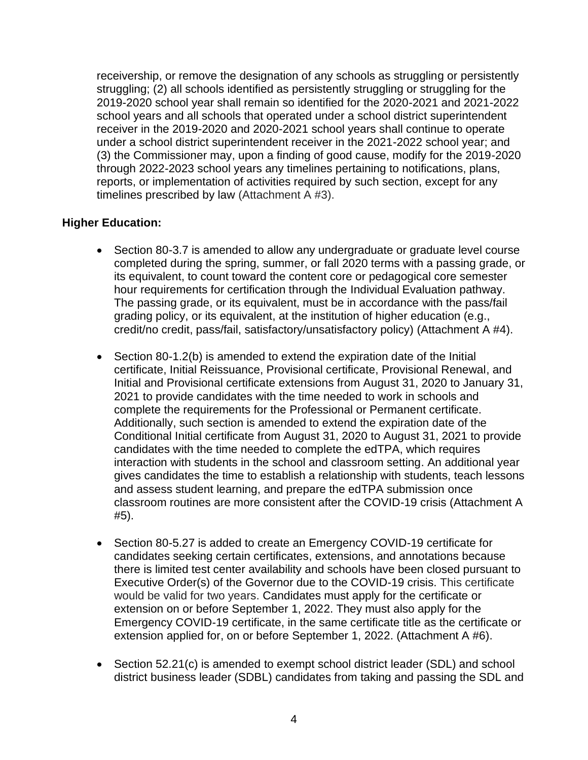receivership, or remove the designation of any schools as struggling or persistently struggling; (2) all schools identified as persistently struggling or struggling for the 2019-2020 school year shall remain so identified for the 2020-2021 and 2021-2022 school years and all schools that operated under a school district superintendent receiver in the 2019-2020 and 2020-2021 school years shall continue to operate under a school district superintendent receiver in the 2021-2022 school year; and (3) the Commissioner may, upon a finding of good cause, modify for the 2019-2020 through 2022-2023 school years any timelines pertaining to notifications, plans, reports, or implementation of activities required by such section, except for any timelines prescribed by law (Attachment A #3).

### **Higher Education:**

- Section 80-3.7 is amended to allow any undergraduate or graduate level course completed during the spring, summer, or fall 2020 terms with a passing grade, or its equivalent, to count toward the content core or pedagogical core semester hour requirements for certification through the Individual Evaluation pathway. The passing grade, or its equivalent, must be in accordance with the pass/fail grading policy, or its equivalent, at the institution of higher education (e.g., credit/no credit, pass/fail, satisfactory/unsatisfactory policy) (Attachment A #4).
- Section 80-1.2(b) is amended to extend the expiration date of the Initial certificate, Initial Reissuance, Provisional certificate, Provisional Renewal, and Initial and Provisional certificate extensions from August 31, 2020 to January 31, 2021 to provide candidates with the time needed to work in schools and complete the requirements for the Professional or Permanent certificate. Additionally, such section is amended to extend the expiration date of the Conditional Initial certificate from August 31, 2020 to August 31, 2021 to provide candidates with the time needed to complete the edTPA, which requires interaction with students in the school and classroom setting. An additional year gives candidates the time to establish a relationship with students, teach lessons and assess student learning, and prepare the edTPA submission once classroom routines are more consistent after the COVID-19 crisis (Attachment A #5).
- Section 80-5.27 is added to create an Emergency COVID-19 certificate for candidates seeking certain certificates, extensions, and annotations because there is limited test center availability and schools have been closed pursuant to Executive Order(s) of the Governor due to the COVID-19 crisis. This certificate would be valid for two years. Candidates must apply for the certificate or extension on or before September 1, 2022. They must also apply for the Emergency COVID-19 certificate, in the same certificate title as the certificate or extension applied for, on or before September 1, 2022. (Attachment A #6).
- Section 52.21(c) is amended to exempt school district leader (SDL) and school district business leader (SDBL) candidates from taking and passing the SDL and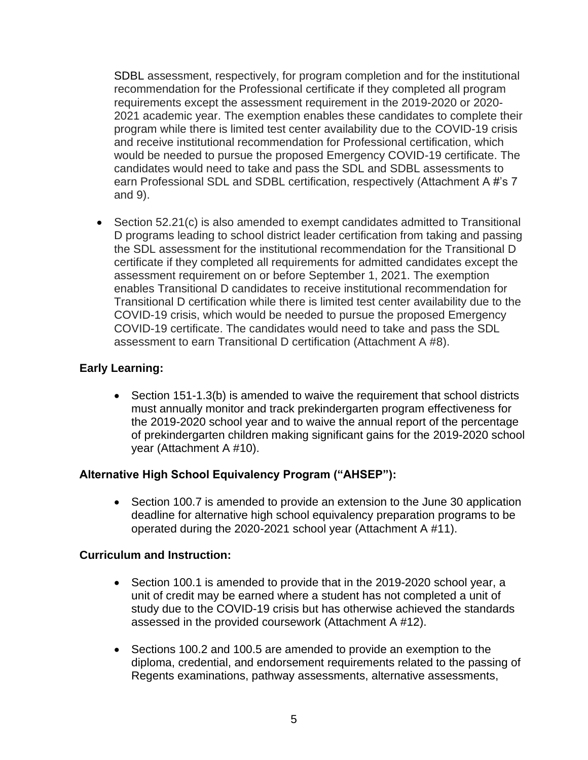SDBL assessment, respectively, for program completion and for the institutional recommendation for the Professional certificate if they completed all program requirements except the assessment requirement in the 2019-2020 or 2020- 2021 academic year. The exemption enables these candidates to complete their program while there is limited test center availability due to the COVID-19 crisis and receive institutional recommendation for Professional certification, which would be needed to pursue the proposed Emergency COVID-19 certificate. The candidates would need to take and pass the SDL and SDBL assessments to earn Professional SDL and SDBL certification, respectively (Attachment A #'s 7 and 9).

• Section 52.21(c) is also amended to exempt candidates admitted to Transitional D programs leading to school district leader certification from taking and passing the SDL assessment for the institutional recommendation for the Transitional D certificate if they completed all requirements for admitted candidates except the assessment requirement on or before September 1, 2021. The exemption enables Transitional D candidates to receive institutional recommendation for Transitional D certification while there is limited test center availability due to the COVID-19 crisis, which would be needed to pursue the proposed Emergency COVID-19 certificate. The candidates would need to take and pass the SDL assessment to earn Transitional D certification (Attachment A #8).

# **Early Learning:**

• Section 151-1.3(b) is amended to waive the requirement that school districts must annually monitor and track prekindergarten program effectiveness for the 2019-2020 school year and to waive the annual report of the percentage of prekindergarten children making significant gains for the 2019-2020 school year (Attachment A #10).

# **Alternative High School Equivalency Program ("AHSEP"):**

• Section 100.7 is amended to provide an extension to the June 30 application deadline for alternative high school equivalency preparation programs to be operated during the 2020-2021 school year (Attachment A #11).

### **Curriculum and Instruction:**

- Section 100.1 is amended to provide that in the 2019-2020 school year, a unit of credit may be earned where a student has not completed a unit of study due to the COVID-19 crisis but has otherwise achieved the standards assessed in the provided coursework (Attachment A #12).
- Sections 100.2 and 100.5 are amended to provide an exemption to the diploma, credential, and endorsement requirements related to the passing of Regents examinations, pathway assessments, alternative assessments,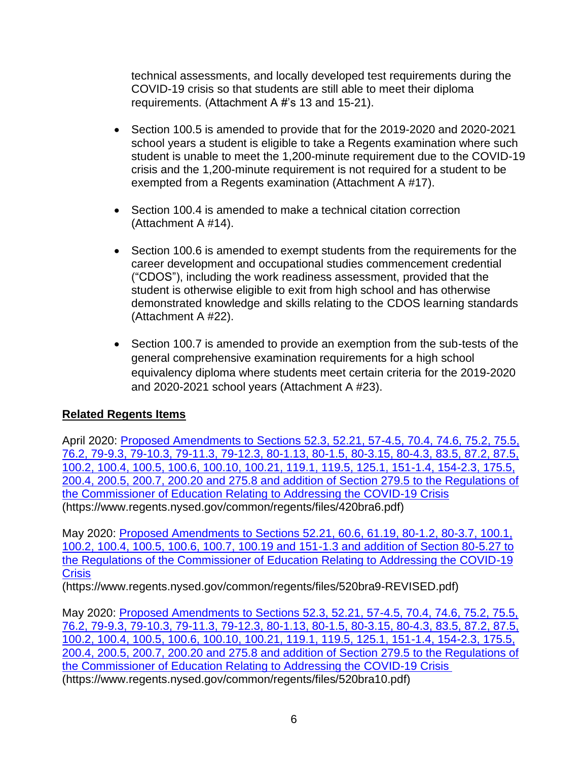technical assessments, and locally developed test requirements during the COVID-19 crisis so that students are still able to meet their diploma requirements. (Attachment A #'s 13 and 15-21).

- Section 100.5 is amended to provide that for the 2019-2020 and 2020-2021 school years a student is eligible to take a Regents examination where such student is unable to meet the 1,200-minute requirement due to the COVID-19 crisis and the 1,200-minute requirement is not required for a student to be exempted from a Regents examination (Attachment A #17).
- Section 100.4 is amended to make a technical citation correction (Attachment A #14).
- Section 100.6 is amended to exempt students from the requirements for the career development and occupational studies commencement credential ("CDOS"), including the work readiness assessment, provided that the student is otherwise eligible to exit from high school and has otherwise demonstrated knowledge and skills relating to the CDOS learning standards (Attachment A #22).
- Section 100.7 is amended to provide an exemption from the sub-tests of the general comprehensive examination requirements for a high school equivalency diploma where students meet certain criteria for the 2019-2020 and 2020-2021 school years (Attachment A #23).

# **Related Regents Items**

April 2020: Proposed Amendments to Sections 52.3, 52.21, 57-4.5, 70.4, 74.6, 75.2, 75.5, [76.2, 79-9.3, 79-10.3, 79-11.3, 79-12.3, 80-1.13, 80-1.5, 80-3.15, 80-4.3, 83.5, 87.2, 87.5,](https://www.regents.nysed.gov/common/regents/files/420bra6.pdf)  [100.2, 100.4, 100.5, 100.6, 100.10, 100.21, 119.1, 119.5, 125.1, 151-1.4, 154-2.3, 175.5,](https://www.regents.nysed.gov/common/regents/files/420bra6.pdf)  [200.4, 200.5, 200.7, 200.20 and 275.8 and addition of Section 279.5 to the Regulations of](https://www.regents.nysed.gov/common/regents/files/420bra6.pdf)  [the Commissioner of Education Relating to Addressing the COVID-19 Crisis](https://www.regents.nysed.gov/common/regents/files/420bra6.pdf) (https://www.regents.nysed.gov/common/regents/files/420bra6.pdf)

May 2020: [Proposed Amendments to Sections 52.21, 60.6, 61.19, 80-1.2, 80-3.7, 100.1,](https://www.regents.nysed.gov/common/regents/files/520bra9-REVISED.pdf)  [100.2, 100.4, 100.5, 100.6, 100.7, 100.19 and 151-1.3 and addition of Section 80-5.27 to](https://www.regents.nysed.gov/common/regents/files/520bra9-REVISED.pdf)  [the Regulations of the Commissioner of Education Relating to Addressing the COVID-19](https://www.regents.nysed.gov/common/regents/files/520bra9-REVISED.pdf)  **[Crisis](https://www.regents.nysed.gov/common/regents/files/520bra9-REVISED.pdf)** 

(https://www.regents.nysed.gov/common/regents/files/520bra9-REVISED.pdf)

May 2020: [Proposed Amendments to Sections 52.3, 52.21, 57-4.5, 70.4, 74.6, 75.2, 75.5,](https://www.regents.nysed.gov/common/regents/files/520bra10.pdf)  [76.2, 79-9.3, 79-10.3, 79-11.3, 79-12.3, 80-1.13, 80-1.5, 80-3.15, 80-4.3, 83.5, 87.2, 87.5,](https://www.regents.nysed.gov/common/regents/files/520bra10.pdf)  [100.2, 100.4, 100.5, 100.6, 100.10, 100.21, 119.1, 119.5, 125.1, 151-1.4, 154-2.3, 175.5,](https://www.regents.nysed.gov/common/regents/files/520bra10.pdf)  [200.4, 200.5, 200.7, 200.20 and 275.8 and addition of Section 279.5 to the Regulations of](https://www.regents.nysed.gov/common/regents/files/520bra10.pdf)  [the Commissioner of Education Relating to Addressing the COVID-19 Crisis](https://www.regents.nysed.gov/common/regents/files/520bra10.pdf) (https://www.regents.nysed.gov/common/regents/files/520bra10.pdf)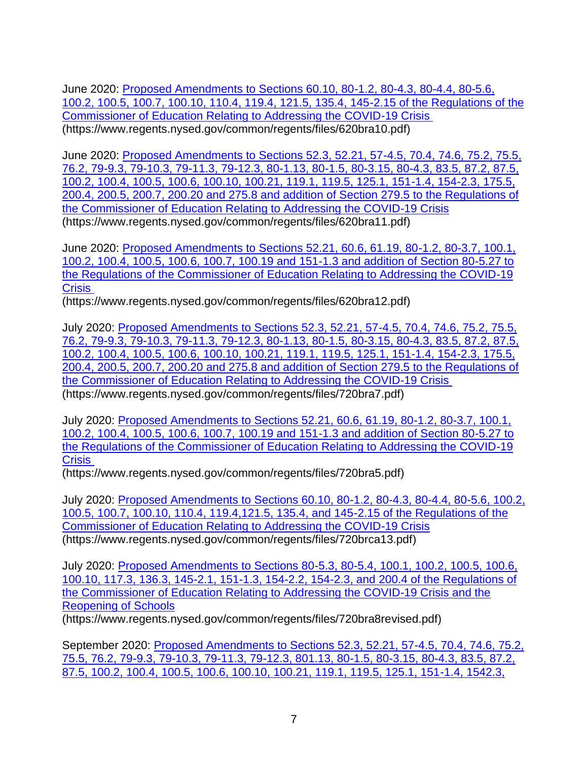June 2020: [Proposed Amendments to Sections 60.10, 80-1.2, 80-4.3, 80-4.4, 80-5.6,](https://www.regents.nysed.gov/common/regents/files/620bra10.pdf)  [100.2, 100.5, 100.7, 100.10, 110.4, 119.4, 121.5, 135.4, 145-2.15 of the Regulations of the](https://www.regents.nysed.gov/common/regents/files/620bra10.pdf)  [Commissioner of Education Relating to Addressing the COVID-19 Crisis](https://www.regents.nysed.gov/common/regents/files/620bra10.pdf) (https://www.regents.nysed.gov/common/regents/files/620bra10.pdf)

June 2020: [Proposed Amendments to Sections 52.3, 52.21, 57-4.5, 70.4, 74.6, 75.2, 75.5,](https://www.regents.nysed.gov/common/regents/files/620bra11.pdf)  [76.2, 79-9.3, 79-10.3, 79-11.3, 79-12.3, 80-1.13, 80-1.5, 80-3.15, 80-4.3, 83.5, 87.2, 87.5,](https://www.regents.nysed.gov/common/regents/files/620bra11.pdf) [100.2, 100.4, 100.5, 100.6, 100.10, 100.21, 119.1, 119.5, 125.1, 151-1.4, 154-2.3, 175.5,](https://www.regents.nysed.gov/common/regents/files/620bra11.pdf)  [200.4, 200.5, 200.7, 200.20 and 275.8 and addition of Section 279.5 to the Regulations of](https://www.regents.nysed.gov/common/regents/files/620bra11.pdf)  [the Commissioner of Education Relating to Addressing the COVID-19 Crisis](https://www.regents.nysed.gov/common/regents/files/620bra11.pdf) (https://www.regents.nysed.gov/common/regents/files/620bra11.pdf)

June 2020: [Proposed Amendments to Sections 52.21, 60.6, 61.19, 80-1.2, 80-3.7, 100.1,](https://www.regents.nysed.gov/common/regents/files/620bra12.pdf)  [100.2, 100.4, 100.5, 100.6, 100.7, 100.19 and 151-1.3 and addition of Section 80-5.27 to](https://www.regents.nysed.gov/common/regents/files/620bra12.pdf)  [the Regulations of the Commissioner of Education Relating to Addressing the COVID-19](https://www.regents.nysed.gov/common/regents/files/620bra12.pdf)  **[Crisis](https://www.regents.nysed.gov/common/regents/files/620bra12.pdf)** 

(https://www.regents.nysed.gov/common/regents/files/620bra12.pdf)

July 2020: [Proposed Amendments to Sections 52.3, 52.21, 57-4.5, 70.4, 74.6, 75.2, 75.5,](https://www.regents.nysed.gov/common/regents/files/720bra7.pdf)  [76.2, 79-9.3, 79-10.3, 79-11.3, 79-12.3, 80-1.13, 80-1.5, 80-3.15, 80-4.3, 83.5, 87.2, 87.5,](https://www.regents.nysed.gov/common/regents/files/720bra7.pdf)  [100.2, 100.4, 100.5, 100.6, 100.10, 100.21, 119.1, 119.5, 125.1, 151-1.4, 154-2.3, 175.5,](https://www.regents.nysed.gov/common/regents/files/720bra7.pdf)  [200.4, 200.5, 200.7, 200.20 and 275.8 and addition of Section 279.5 to the Regulations of](https://www.regents.nysed.gov/common/regents/files/720bra7.pdf)  [the Commissioner of Education Relating to Addressing the COVID-19 Crisis](https://www.regents.nysed.gov/common/regents/files/720bra7.pdf) (https://www.regents.nysed.gov/common/regents/files/720bra7.pdf)

July 2020: [Proposed Amendments to Sections 52.21, 60.6, 61.19, 80-1.2, 80-3.7, 100.1,](https://www.regents.nysed.gov/common/regents/files/720bra5.pdf)  [100.2, 100.4, 100.5, 100.6, 100.7, 100.19 and 151-1.3 and addition of Section 80-5.27 to](https://www.regents.nysed.gov/common/regents/files/720bra5.pdf)  [the Regulations of the Commissioner of Education Relating to Addressing the COVID-19](https://www.regents.nysed.gov/common/regents/files/720bra5.pdf)  **[Crisis](https://www.regents.nysed.gov/common/regents/files/720bra5.pdf)** 

[\(https://www.regents.nysed.gov/common/regents/files/720bra5.pdf\)](https://www.regents.nysed.gov/common/regents/files/720bra5.pdf)

July 2020: [Proposed Amendments to Sections 60.10, 80-1.2, 80-4.3, 80-4.4, 80-5.6, 100.2,](https://www.regents.nysed.gov/common/regents/files/720brca13.pdf)  [100.5, 100.7, 100.10, 110.4, 119.4,121.5, 135.4, and 145-2.15 of the Regulations of the](https://www.regents.nysed.gov/common/regents/files/720brca13.pdf)  [Commissioner of Education Relating to Addressing the COVID-19 Crisis](https://www.regents.nysed.gov/common/regents/files/720brca13.pdf) [\(https://www.regents.nysed.gov/common/regents/files/720brca13.pdf\)](https://www.regents.nysed.gov/common/regents/files/720brca13.pdf)

July 2020: [Proposed Amendments to Sections 80-5.3, 80-5.4, 100.1, 100.2, 100.5, 100.6,](https://www.regents.nysed.gov/common/regents/files/720bra8revised.pdf)  [100.10, 117.3, 136.3, 145-2.1, 151-1.3, 154-2.2, 154-2.3, and 200.4 of the Regulations of](https://www.regents.nysed.gov/common/regents/files/720bra8revised.pdf)  [the Commissioner of Education Relating to Addressing the COVID-19 Crisis and the](https://www.regents.nysed.gov/common/regents/files/720bra8revised.pdf)  [Reopening of Schools](https://www.regents.nysed.gov/common/regents/files/720bra8revised.pdf)

[\(https://www.regents.nysed.gov/common/regents/files/720bra8revised.pdf\)](https://www.regents.nysed.gov/common/regents/files/720bra8revised.pdf)

September 2020: [Proposed Amendments to Sections 52.3, 52.21, 57-4.5, 70.4, 74.6, 75.2,](https://www.regents.nysed.gov/common/regents/files/920bra6.pdf)  [75.5, 76.2, 79-9.3, 79-10.3, 79-11.3, 79-12.3, 801.13, 80-1.5, 80-3.15, 80-4.3, 83.5, 87.2,](https://www.regents.nysed.gov/common/regents/files/920bra6.pdf)  [87.5, 100.2, 100.4, 100.5, 100.6, 100.10, 100.21, 119.1, 119.5, 125.1, 151-1.4, 1542.3,](https://www.regents.nysed.gov/common/regents/files/920bra6.pdf)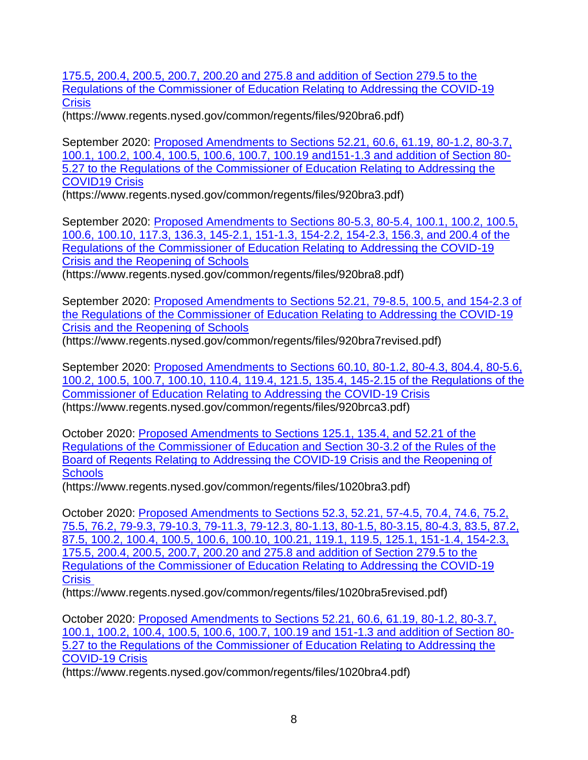[175.5, 200.4, 200.5, 200.7, 200.20 and 275.8 and addition of Section 279.5 to the](https://www.regents.nysed.gov/common/regents/files/920bra6.pdf)  [Regulations of the Commissioner of Education Relating to Addressing the COVID-19](https://www.regents.nysed.gov/common/regents/files/920bra6.pdf)  **[Crisis](https://www.regents.nysed.gov/common/regents/files/920bra6.pdf)** 

(https://www.regents.nysed.gov/common/regents/files/920bra6.pdf)

September 2020: [Proposed Amendments to Sections 52.21, 60.6, 61.19, 80-1.2, 80-3.7,](https://www.regents.nysed.gov/common/regents/files/920bra3.pdf)  [100.1, 100.2, 100.4, 100.5, 100.6, 100.7, 100.19 and151-1.3 and addition of Section 80-](https://www.regents.nysed.gov/common/regents/files/920bra3.pdf) [5.27 to the Regulations of the Commissioner of Education Relating to Addressing the](https://www.regents.nysed.gov/common/regents/files/920bra3.pdf)  [COVID19 Crisis](https://www.regents.nysed.gov/common/regents/files/920bra3.pdf)

(https://www.regents.nysed.gov/common/regents/files/920bra3.pdf)

September 2020: [Proposed Amendments to Sections 80-5.3, 80-5.4, 100.1, 100.2, 100.5,](https://www.regents.nysed.gov/common/regents/files/920bra8.pdf)  [100.6, 100.10, 117.3, 136.3, 145-2.1, 151-1.3, 154-2.2, 154-2.3, 156.3, and 200.4 of the](https://www.regents.nysed.gov/common/regents/files/920bra8.pdf)  Regulations of the [Commissioner of Education Relating to Addressing the COVID-19](https://www.regents.nysed.gov/common/regents/files/920bra8.pdf)  [Crisis and the Reopening of Schools](https://www.regents.nysed.gov/common/regents/files/920bra8.pdf)

(https://www.regents.nysed.gov/common/regents/files/920bra8.pdf)

September 2020: [Proposed Amendments to Sections 52.21, 79-8.5, 100.5, and 154-2.3 of](https://www.regents.nysed.gov/common/regents/files/920bra7revised.pdf)  [the Regulations of the Commissioner of Education Relating to Addressing the COVID-19](https://www.regents.nysed.gov/common/regents/files/920bra7revised.pdf)  [Crisis and the Reopening of Schools](https://www.regents.nysed.gov/common/regents/files/920bra7revised.pdf)

(https://www.regents.nysed.gov/common/regents/files/920bra7revised.pdf)

September 2020: [Proposed Amendments to Sections 60.10, 80-1.2, 80-4.3, 804.4, 80-5.6,](https://www.regents.nysed.gov/common/regents/files/920brca3.pdf)  [100.2, 100.5, 100.7, 100.10, 110.4, 119.4, 121.5, 135.4, 145-2.15 of the](https://www.regents.nysed.gov/common/regents/files/920brca3.pdf) Regulations of the [Commissioner of Education Relating to Addressing the COVID-19 Crisis](https://www.regents.nysed.gov/common/regents/files/920brca3.pdf) (https://www.regents.nysed.gov/common/regents/files/920brca3.pdf)

October 2020: [Proposed Amendments to Sections 125.1, 135.4, and 52.21 of the](https://www.regents.nysed.gov/common/regents/files/1020bra3.pdf)  [Regulations of the Commissioner of Education and Section 30-3.2 of the Rules of the](https://www.regents.nysed.gov/common/regents/files/1020bra3.pdf)  [Board of Regents Relating to Addressing the COVID-19 Crisis and the Reopening of](https://www.regents.nysed.gov/common/regents/files/1020bra3.pdf)  **[Schools](https://www.regents.nysed.gov/common/regents/files/1020bra3.pdf)** 

(https://www.regents.nysed.gov/common/regents/files/1020bra3.pdf)

October 2020: [Proposed Amendments to Sections 52.3, 52.21, 57-4.5, 70.4, 74.6, 75.2,](https://www.regents.nysed.gov/common/regents/files/1020bra5revised.pdf)  [75.5, 76.2, 79-9.3, 79-10.3, 79-11.3, 79-12.3, 80-1.13, 80-1.5, 80-3.15, 80-4.3, 83.5, 87.2,](https://www.regents.nysed.gov/common/regents/files/1020bra5revised.pdf)  [87.5, 100.2, 100.4, 100.5, 100.6, 100.10, 100.21, 119.1, 119.5, 125.1, 151-1.4, 154-2.3,](https://www.regents.nysed.gov/common/regents/files/1020bra5revised.pdf)  [175.5, 200.4, 200.5, 200.7, 200.20 and 275.8 and addition of Section 279.5 to the](https://www.regents.nysed.gov/common/regents/files/1020bra5revised.pdf)  [Regulations of the Commissioner of Education Relating to Addressing the COVID-19](https://www.regents.nysed.gov/common/regents/files/1020bra5revised.pdf)  **[Crisis](https://www.regents.nysed.gov/common/regents/files/1020bra5revised.pdf)** 

(https://www.regents.nysed.gov/common/regents/files/1020bra5revised.pdf)

October 2020: [Proposed Amendments to Sections 52.21, 60.6, 61.19, 80-1.2, 80-3.7,](https://www.regents.nysed.gov/common/regents/files/1020bra4.pdf)  [100.1, 100.2, 100.4, 100.5, 100.6, 100.7, 100.19 and 151-1.3 and addition of Section 80-](https://www.regents.nysed.gov/common/regents/files/1020bra4.pdf) [5.27 to the Regulations of the Commissioner of Education Relating to Addressing the](https://www.regents.nysed.gov/common/regents/files/1020bra4.pdf)  [COVID-19 Crisis](https://www.regents.nysed.gov/common/regents/files/1020bra4.pdf)

(https://www.regents.nysed.gov/common/regents/files/1020bra4.pdf)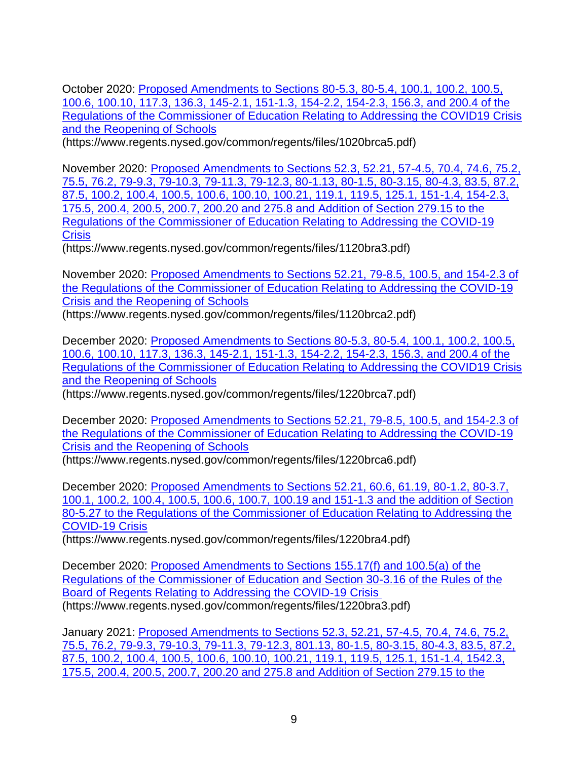October 2020: [Proposed Amendments to Sections 80-5.3, 80-5.4, 100.1, 100.2, 100.5,](https://www.regents.nysed.gov/common/regents/files/1020brca5.pdf)  [100.6, 100.10, 117.3, 136.3, 145-2.1, 151-1.3, 154-2.2, 154-2.3, 156.3, and 200.4 of the](https://www.regents.nysed.gov/common/regents/files/1020brca5.pdf)  [Regulations of the Commissioner of Education Relating to Addressing the COVID19 Crisis](https://www.regents.nysed.gov/common/regents/files/1020brca5.pdf)  [and the Reopening of Schools](https://www.regents.nysed.gov/common/regents/files/1020brca5.pdf)

(https://www.regents.nysed.gov/common/regents/files/1020brca5.pdf)

November 2020: [Proposed Amendments to Sections 52.3, 52.21, 57-4.5, 70.4, 74.6, 75.2,](https://www.regents.nysed.gov/common/regents/files/1120bra3.pdf)  [75.5, 76.2, 79-9.3, 79-10.3, 79-11.3, 79-12.3, 80-1.13, 80-1.5, 80-3.15, 80-4.3, 83.5, 87.2,](https://www.regents.nysed.gov/common/regents/files/1120bra3.pdf)  [87.5, 100.2, 100.4, 100.5, 100.6, 100.10, 100.21, 119.1, 119.5, 125.1, 151-1.4, 154-2.3,](https://www.regents.nysed.gov/common/regents/files/1120bra3.pdf)  [175.5, 200.4, 200.5, 200.7, 200.20 and 275.8 and Addition of Section 279.15 to the](https://www.regents.nysed.gov/common/regents/files/1120bra3.pdf)  [Regulations of the Commissioner of Education Relating to Addressing the COVID-19](https://www.regents.nysed.gov/common/regents/files/1120bra3.pdf)  **[Crisis](https://www.regents.nysed.gov/common/regents/files/1120bra3.pdf)** 

(https://www.regents.nysed.gov/common/regents/files/1120bra3.pdf)

November 2020: [Proposed Amendments to Sections 52.21, 79-8.5, 100.5, and 154-2.3 of](https://www.regents.nysed.gov/common/regents/files/1120brca2.pdf)  [the Regulations of the Commissioner of Education Relating to Addressing the COVID-19](https://www.regents.nysed.gov/common/regents/files/1120brca2.pdf)  [Crisis and the Reopening of Schools](https://www.regents.nysed.gov/common/regents/files/1120brca2.pdf)

(https://www.regents.nysed.gov/common/regents/files/1120brca2.pdf)

December 2020: [Proposed Amendments to Sections 80-5.3, 80-5.4, 100.1, 100.2, 100.5,](https://www.regents.nysed.gov/common/regents/files/1220brca7.pdf)  [100.6, 100.10, 117.3, 136.3, 145-2.1, 151-1.3, 154-2.2, 154-2.3, 156.3, and 200.4 of the](https://www.regents.nysed.gov/common/regents/files/1220brca7.pdf)  [Regulations of the Commissioner of Education Relating to Addressing the COVID19 Crisis](https://www.regents.nysed.gov/common/regents/files/1220brca7.pdf)  [and the Reopening of Schools](https://www.regents.nysed.gov/common/regents/files/1220brca7.pdf)

(https://www.regents.nysed.gov/common/regents/files/1220brca7.pdf)

December 2020: Proposed Amendments to Sections 52.21, 79-8.5, 100.5, and 154-2.3 of [the Regulations of the Commissioner of Education Relating to Addressing the COVID-19](https://www.regents.nysed.gov/common/regents/files/1220brca6.pdf)  [Crisis and the Reopening of Schools](https://www.regents.nysed.gov/common/regents/files/1220brca6.pdf)

(https://www.regents.nysed.gov/common/regents/files/1220brca6.pdf)

December 2020: [Proposed Amendments to Sections 52.21, 60.6, 61.19, 80-1.2, 80-3.7,](https://www.regents.nysed.gov/common/regents/files/1220bra4.pdf)  [100.1, 100.2, 100.4, 100.5, 100.6, 100.7, 100.19 and 151-1.3 and the addition of Section](https://www.regents.nysed.gov/common/regents/files/1220bra4.pdf)  [80-5.27 to the Regulations of the Commissioner of Education Relating to Addressing the](https://www.regents.nysed.gov/common/regents/files/1220bra4.pdf)  [COVID-19 Crisis](https://www.regents.nysed.gov/common/regents/files/1220bra4.pdf)

(https://www.regents.nysed.gov/common/regents/files/1220bra4.pdf)

December 2020: [Proposed Amendments to Sections 155.17\(f\) and 100.5\(a\) of the](https://www.regents.nysed.gov/common/regents/files/1220bra3.pdf)  [Regulations of the Commissioner of Education and Section 30-3.16 of the Rules of the](https://www.regents.nysed.gov/common/regents/files/1220bra3.pdf)  [Board of Regents Relating to Addressing the COVID-19 Crisis](https://www.regents.nysed.gov/common/regents/files/1220bra3.pdf) (https://www.regents.nysed.gov/common/regents/files/1220bra3.pdf)

January 2021: [Proposed Amendments to Sections 52.3, 52.21, 57-4.5, 70.4, 74.6, 75.2,](https://www.regents.nysed.gov/common/regents/files/121brca3.pdf)  [75.5, 76.2, 79-9.3, 79-10.3, 79-11.3, 79-12.3, 801.13, 80-1.5, 80-3.15, 80-4.3, 83.5, 87.2,](https://www.regents.nysed.gov/common/regents/files/121brca3.pdf)  [87.5, 100.2, 100.4, 100.5, 100.6, 100.10, 100.21, 119.1, 119.5, 125.1, 151-1.4, 1542.3,](https://www.regents.nysed.gov/common/regents/files/121brca3.pdf)  [175.5, 200.4, 200.5, 200.7, 200.20 and 275.8 and Addition of Section 279.15 to the](https://www.regents.nysed.gov/common/regents/files/121brca3.pdf)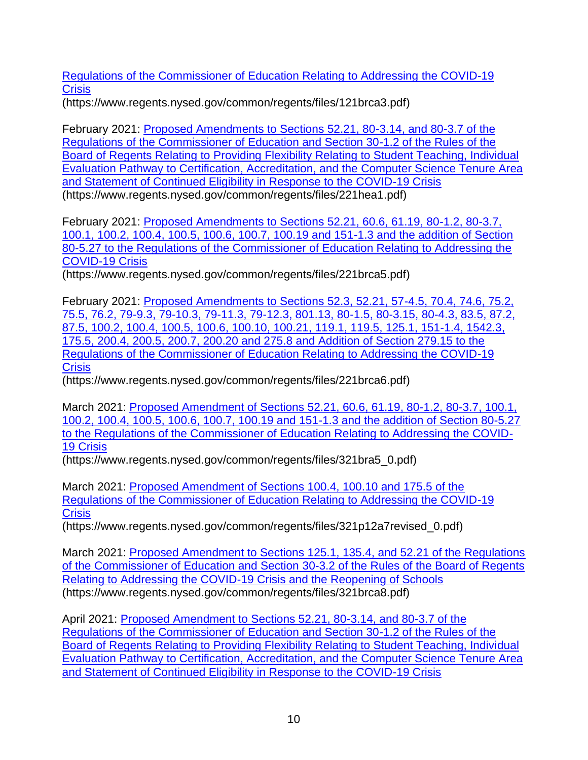[Regulations of the Commissioner of Education Relating](https://www.regents.nysed.gov/common/regents/files/121brca3.pdf) to Addressing the COVID-19 **[Crisis](https://www.regents.nysed.gov/common/regents/files/121brca3.pdf)** 

(https://www.regents.nysed.gov/common/regents/files/121brca3.pdf)

February 2021: [Proposed Amendments to Sections 52.21, 80-3.14, and 80-3.7 of the](https://www.regents.nysed.gov/common/regents/files/221hea1.pdf)  [Regulations of the Commissioner of Education and Section 30-1.2 of the Rules of the](https://www.regents.nysed.gov/common/regents/files/221hea1.pdf)  [Board of Regents Relating to Providing Flexibility Relating to Student Teaching, Individual](https://www.regents.nysed.gov/common/regents/files/221hea1.pdf)  [Evaluation Pathway to Certification, Accreditation, and the Computer Science Tenure Area](https://www.regents.nysed.gov/common/regents/files/221hea1.pdf)  [and Statement of Continued Eligibility in Response to the COVID-19 Crisis](https://www.regents.nysed.gov/common/regents/files/221hea1.pdf) (https://www.regents.nysed.gov/common/regents/files/221hea1.pdf)

February 2021: [Proposed Amendments to Sections 52.21, 60.6, 61.19, 80-1.2, 80-3.7,](https://www.regents.nysed.gov/common/regents/files/221brca5.pdf)  [100.1, 100.2, 100.4, 100.5, 100.6, 100.7, 100.19 and 151-1.3 and the addition of Section](https://www.regents.nysed.gov/common/regents/files/221brca5.pdf)  80-5.27 to the Regulations of the Commissioner of Education Relating to Addressing the [COVID-19 Crisis](https://www.regents.nysed.gov/common/regents/files/221brca5.pdf)

(https://www.regents.nysed.gov/common/regents/files/221brca5.pdf)

February 2021: [Proposed Amendments to Sections 52.3, 52.21, 57-4.5, 70.4, 74.6, 75.2,](https://www.regents.nysed.gov/common/regents/files/221brca6.pdf)  [75.5, 76.2, 79-9.3, 79-10.3, 79-11.3, 79-12.3, 801.13, 80-1.5, 80-3.15, 80-4.3, 83.5, 87.2,](https://www.regents.nysed.gov/common/regents/files/221brca6.pdf)  [87.5, 100.2, 100.4, 100.5, 100.6, 100.10, 100.21, 119.1, 119.5, 125.1, 151-1.4, 1542.3,](https://www.regents.nysed.gov/common/regents/files/221brca6.pdf)  [175.5, 200.4, 200.5, 200.7, 200.20 and 275.8 and Addition of Section 279.15 to the](https://www.regents.nysed.gov/common/regents/files/221brca6.pdf)  [Regulations of the Commissioner of Education Relating to Addressing the COVID-19](https://www.regents.nysed.gov/common/regents/files/221brca6.pdf)  **[Crisis](https://www.regents.nysed.gov/common/regents/files/221brca6.pdf)** 

(https://www.regents.nysed.gov/common/regents/files/221brca6.pdf)

March 2021: [Proposed Amendment of Sections 52.21, 60.6, 61.19, 80-1.2, 80-3.7, 100.1,](https://www.regents.nysed.gov/common/regents/files/321bra5_0.pdf)  [100.2, 100.4, 100.5, 100.6, 100.7, 100.19 and 151-1.3 and the addition of Section 80-5.27](https://www.regents.nysed.gov/common/regents/files/321bra5_0.pdf)  [to the Regulations of the Commissioner of Education Relating to Addressing the COVID-](https://www.regents.nysed.gov/common/regents/files/321bra5_0.pdf)[19 Crisis](https://www.regents.nysed.gov/common/regents/files/321bra5_0.pdf)

(https://www.regents.nysed.gov/common/regents/files/321bra5\_0.pdf)

March 2021: [Proposed Amendment of Sections 100.4, 100.10 and 175.5 of the](https://www.regents.nysed.gov/common/regents/files/321p12a7revised_0.pdf)  [Regulations of the Commissioner of Education Relating to Addressing the COVID-19](https://www.regents.nysed.gov/common/regents/files/321p12a7revised_0.pdf)  **[Crisis](https://www.regents.nysed.gov/common/regents/files/321p12a7revised_0.pdf)** 

(https://www.regents.nysed.gov/common/regents/files/321p12a7revised\_0.pdf)

March 2021: Proposed Amendment to Sections 125.1, 135.4, and 52.21 of the Regulations [of the Commissioner of Education and Section 30-3.2 of the Rules of the Board of Regents](https://www.regents.nysed.gov/common/regents/files/321brca8.pdf)  [Relating to Addressing the COVID-19 Crisis and the Reopening of Schools](https://www.regents.nysed.gov/common/regents/files/321brca8.pdf) (https://www.regents.nysed.gov/common/regents/files/321brca8.pdf)

April 2021: [Proposed Amendment to Sections 52.21, 80-3.14, and 80-3.7 of the](https://www.regents.nysed.gov/common/regents/files/4211brca5.pdf)  [Regulations of the Commissioner of Education and Section 30-1.2 of the Rules of the](https://www.regents.nysed.gov/common/regents/files/4211brca5.pdf)  [Board of Regents Relating to Providing Flexibility Relating to Student Teaching, Individual](https://www.regents.nysed.gov/common/regents/files/4211brca5.pdf)  [Evaluation Pathway to Certification, Accreditation, and the Computer Science Tenure Area](https://www.regents.nysed.gov/common/regents/files/4211brca5.pdf)  [and Statement of Continued Eligibility in Response to the COVID-19 Crisis](https://www.regents.nysed.gov/common/regents/files/4211brca5.pdf)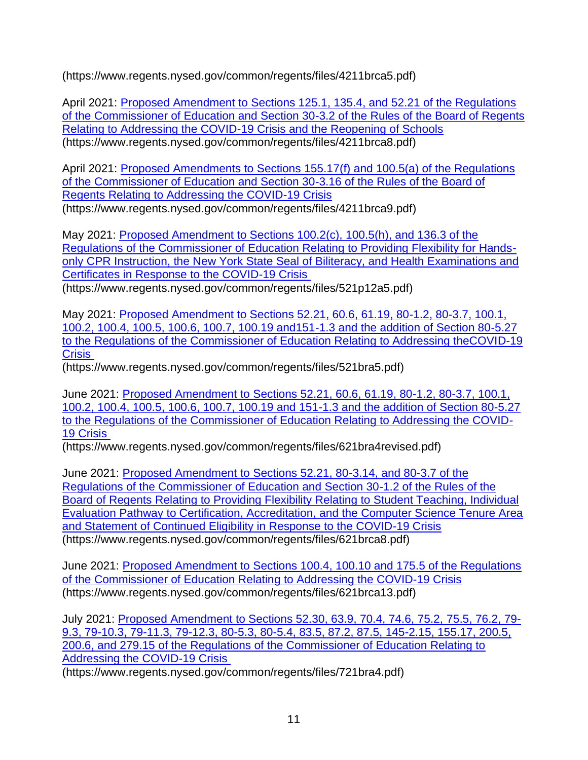(https://www.regents.nysed.gov/common/regents/files/4211brca5.pdf)

April 2021: [Proposed Amendment to Sections 125.1, 135.4, and 52.21 of the Regulations](https://www.regents.nysed.gov/common/regents/files/4211brca8.pdf)  [of the Commissioner of Education and Section 30-3.2 of the Rules of the Board of Regents](https://www.regents.nysed.gov/common/regents/files/4211brca8.pdf)  [Relating to Addressing the COVID-19 Crisis and the Reopening of Schools](https://www.regents.nysed.gov/common/regents/files/4211brca8.pdf) (https://www.regents.nysed.gov/common/regents/files/4211brca8.pdf)

April 2021: [Proposed Amendments to Sections 155.17\(f\) and 100.5\(a\) of the Regulations](https://www.regents.nysed.gov/common/regents/files/4211brca9.pdf)  [of the Commissioner of Education and Section 30-3.16 of the Rules of the Board of](https://www.regents.nysed.gov/common/regents/files/4211brca9.pdf)  [Regents Relating to Addressing the COVID-19 Crisis](https://www.regents.nysed.gov/common/regents/files/4211brca9.pdf)

(https://www.regents.nysed.gov/common/regents/files/4211brca9.pdf)

May 2021: [Proposed Amendment to Sections 100.2\(c\), 100.5\(h\), and 136.3 of the](https://www.regents.nysed.gov/common/regents/files/521p12a5.pdf)  [Regulations of the Commissioner of Education Relating to Providing Flexibility for Hands](https://www.regents.nysed.gov/common/regents/files/521p12a5.pdf)only CPR Instruction, the New York State Seal of Biliteracy, and Health Examinations and [Certificates in Response to the COVID-19 Crisis](https://www.regents.nysed.gov/common/regents/files/521p12a5.pdf)

(https://www.regents.nysed.gov/common/regents/files/521p12a5.pdf)

May 2021: [Proposed Amendment to Sections 52.21, 60.6, 61.19, 80-1.2, 80-3.7, 100.1,](https://www.regents.nysed.gov/common/regents/files/521bra5.pdf)  [100.2, 100.4, 100.5, 100.6, 100.7, 100.19 and151-1.3 and the addition of Section 80-5.27](https://www.regents.nysed.gov/common/regents/files/521bra5.pdf)  [to the Regulations of the Commissioner of Education Relating to Addressing theCOVID-19](https://www.regents.nysed.gov/common/regents/files/521bra5.pdf)  **[Crisis](https://www.regents.nysed.gov/common/regents/files/521bra5.pdf)** 

(https://www.regents.nysed.gov/common/regents/files/521bra5.pdf)

June 2021: [Proposed Amendment to Sections 52.21, 60.6, 61.19, 80-1.2, 80-3.7, 100.1,](https://www.regents.nysed.gov/common/regents/files/621bra4revised.pdf)  100.2, [100.4, 100.5, 100.6, 100.7, 100.19 and 151-1.3 and the addition of Section 80-5.27](https://www.regents.nysed.gov/common/regents/files/621bra4revised.pdf)  [to the Regulations of the Commissioner of Education Relating to Addressing the COVID-](https://www.regents.nysed.gov/common/regents/files/621bra4revised.pdf)[19 Crisis](https://www.regents.nysed.gov/common/regents/files/621bra4revised.pdf)

(https://www.regents.nysed.gov/common/regents/files/621bra4revised.pdf)

June 2021: [Proposed Amendment to Sections 52.21, 80-3.14, and 80-3.7 of the](https://www.regents.nysed.gov/common/regents/files/621brca8.pdf)  [Regulations of the Commissioner of Education and Section 30-1.2 of the Rules of the](https://www.regents.nysed.gov/common/regents/files/621brca8.pdf)  Board of Regents [Relating to Providing Flexibility Relating to Student Teaching, Individual](https://www.regents.nysed.gov/common/regents/files/621brca8.pdf)  [Evaluation Pathway to Certification, Accreditation, and the Computer Science Tenure Area](https://www.regents.nysed.gov/common/regents/files/621brca8.pdf)  [and Statement of Continued Eligibility in Response to the COVID-19 Crisis](https://www.regents.nysed.gov/common/regents/files/621brca8.pdf) (https://www.regents.nysed.gov/common/regents/files/621brca8.pdf)

June 2021: [Proposed Amendment to Sections 100.4, 100.10 and 175.5 of the Regulations](https://www.regents.nysed.gov/common/regents/files/621brca13.pdf)  [of the Commissioner of Education Relating to Addressing the COVID-19 Crisis](https://www.regents.nysed.gov/common/regents/files/621brca13.pdf) (https://www.regents.nysed.gov/common/regents/files/621brca13.pdf)

July 2021: [Proposed Amendment to Sections 52.30, 63.9, 70.4, 74.6, 75.2, 75.5, 76.2, 79-](https://www.regents.nysed.gov/common/regents/files/721bra4.pdf) [9.3, 79-10.3, 79-11.3, 79-12.3, 80-5.3, 80-5.4, 83.5, 87.2, 87.5, 145-2.15, 155.17, 200.5,](https://www.regents.nysed.gov/common/regents/files/721bra4.pdf)  [200.6, and 279.15 of the Regulations of the Commissioner of Education Relating to](https://www.regents.nysed.gov/common/regents/files/721bra4.pdf)  [Addressing the COVID-19 Crisis](https://www.regents.nysed.gov/common/regents/files/721bra4.pdf)

(https://www.regents.nysed.gov/common/regents/files/721bra4.pdf)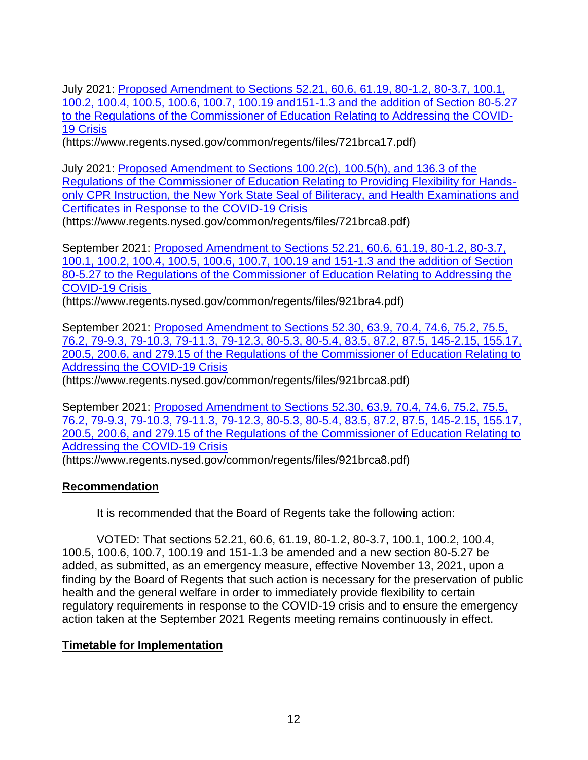July 2021: [Proposed Amendment to Sections 52.21, 60.6, 61.19, 80-1.2, 80-3.7, 100.1,](https://www.regents.nysed.gov/common/regents/files/721brca17.pdf)  [100.2, 100.4, 100.5, 100.6, 100.7, 100.19 and151-1.3 and the](https://www.regents.nysed.gov/common/regents/files/721brca17.pdf) addition of Section 80-5.27 [to the Regulations of the Commissioner of Education Relating to Addressing the COVID-](https://www.regents.nysed.gov/common/regents/files/721brca17.pdf)[19 Crisis](https://www.regents.nysed.gov/common/regents/files/721brca17.pdf)

(https://www.regents.nysed.gov/common/regents/files/721brca17.pdf)

July 2021: [Proposed Amendment to Sections 100.2\(c\), 100.5\(h\), and 136.3 of the](https://www.regents.nysed.gov/common/regents/files/721brca8.pdf)  [Regulations of the Commissioner of Education Relating to Providing Flexibility for Hands](https://www.regents.nysed.gov/common/regents/files/721brca8.pdf)[only CPR Instruction, the New York State Seal of Biliteracy, and Health Examinations and](https://www.regents.nysed.gov/common/regents/files/721brca8.pdf)  [Certificates in Response to the COVID-19 Crisis](https://www.regents.nysed.gov/common/regents/files/721brca8.pdf)

(https://www.regents.nysed.gov/common/regents/files/721brca8.pdf)

September 2021: [Proposed Amendment to Sections 52.21, 60.6, 61.19, 80-1.2, 80-3.7,](https://www.regents.nysed.gov/common/regents/files/921bra4.pdf)  [100.1, 100.2, 100.4, 100.5, 100.6, 100.7, 100.19 and 151-1.3 and the addition of Section](https://www.regents.nysed.gov/common/regents/files/921bra4.pdf)  [80-5.27 to the Regulations of the Commissioner of Education Relating to Addressing the](https://www.regents.nysed.gov/common/regents/files/921bra4.pdf)  [COVID-19 Crisis](https://www.regents.nysed.gov/common/regents/files/921bra4.pdf)

(https://www.regents.nysed.gov/common/regents/files/921bra4.pdf)

September 2021: [Proposed Amendment to Sections 52.30, 63.9, 70.4, 74.6, 75.2, 75.5,](https://www.regents.nysed.gov/common/regents/files/921brca8.pdf)  [76.2, 79-9.3, 79-10.3, 79-11.3, 79-12.3, 80-5.3, 80-5.4, 83.5, 87.2, 87.5, 145-2.15, 155.17,](https://www.regents.nysed.gov/common/regents/files/921brca8.pdf)  [200.5, 200.6, and 279.15 of the Regulations of the Commissioner of Education Relating to](https://www.regents.nysed.gov/common/regents/files/921brca8.pdf)  [Addressing the COVID-19 Crisis](https://www.regents.nysed.gov/common/regents/files/921brca8.pdf)

(https://www.regents.nysed.gov/common/regents/files/921brca8.pdf)

September 2021: [Proposed Amendment to Sections 52.30, 63.9, 70.4, 74.6, 75.2, 75.5,](https://www.regents.nysed.gov/common/regents/files/921brca8.pdf)  76.2, 79-9.3, [79-10.3, 79-11.3, 79-12.3, 80-5.3, 80-5.4, 83.5, 87.2, 87.5, 145-2.15, 155.17,](https://www.regents.nysed.gov/common/regents/files/921brca8.pdf)  [200.5, 200.6, and 279.15 of the Regulations of the Commissioner of Education Relating to](https://www.regents.nysed.gov/common/regents/files/921brca8.pdf)  [Addressing the COVID-19 Crisis](https://www.regents.nysed.gov/common/regents/files/921brca8.pdf)

(https://www.regents.nysed.gov/common/regents/files/921brca8.pdf)

# **Recommendation**

It is recommended that the Board of Regents take the following action:

VOTED: That sections 52.21, 60.6, 61.19, 80-1.2, 80-3.7, 100.1, 100.2, 100.4, 100.5, 100.6, 100.7, 100.19 and 151-1.3 be amended and a new section 80-5.27 be added, as submitted, as an emergency measure, effective November 13, 2021, upon a finding by the Board of Regents that such action is necessary for the preservation of public health and the general welfare in order to immediately provide flexibility to certain regulatory requirements in response to the COVID-19 crisis and to ensure the emergency action taken at the September 2021 Regents meeting remains continuously in effect.

# **Timetable for Implementation**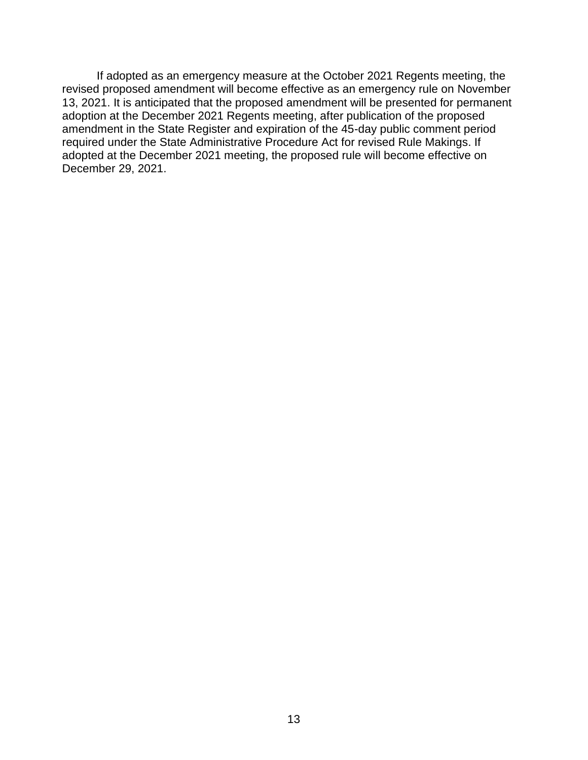If adopted as an emergency measure at the October 2021 Regents meeting, the revised proposed amendment will become effective as an emergency rule on November 13, 2021. It is anticipated that the proposed amendment will be presented for permanent adoption at the December 2021 Regents meeting, after publication of the proposed amendment in the State Register and expiration of the 45-day public comment period required under the State Administrative Procedure Act for revised Rule Makings. If adopted at the December 2021 meeting, the proposed rule will become effective on December 29, 2021.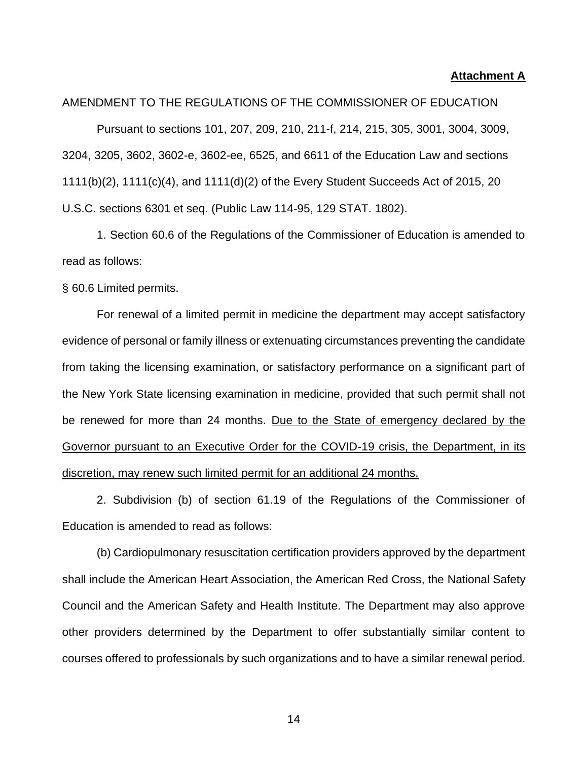#### **Attachment A**

#### AMENDMENT TO THE REGULATIONS OF THE COMMISSIONER OF EDUCATION

Pursuant to sections 101, 207, 209, 210, 211-f, 214, 215, 305, 3001, 3004, 3009, 3204, 3205, 3602, 3602-e, 3602-ee, 6525, and 6611 of the Education Law and sections 1111(b)(2), 1111(c)(4), and 1111(d)(2) of the Every Student Succeeds Act of 2015, 20 U.S.C. sections 6301 et seq. (Public Law 114-95, 129 STAT. 1802).

1. Section 60.6 of the Regulations of the Commissioner of Education is amended to read as follows:

§ 60.6 Limited permits.

For renewal of a limited permit in medicine the department may accept satisfactory evidence of personal or family illness or extenuating circumstances preventing the candidate from taking the licensing examination, or satisfactory performance on a significant part of the New York State licensing examination in medicine, provided that such permit shall not be renewed for more than 24 months. Due to the State of emergency declared by the Governor pursuant to an Executive Order for the COVID-19 crisis, the Department, in its discretion, may renew such limited permit for an additional 24 months.

2. Subdivision (b) of section 61.19 of the Regulations of the Commissioner of Education is amended to read as follows:

(b) Cardiopulmonary resuscitation certification providers approved by the department shall include the American Heart Association, the American Red Cross, the National Safety Council and the American Safety and Health Institute. The Department may also approve other providers determined by the Department to offer substantially similar content to courses offered to professionals by such organizations and to have a similar renewal period.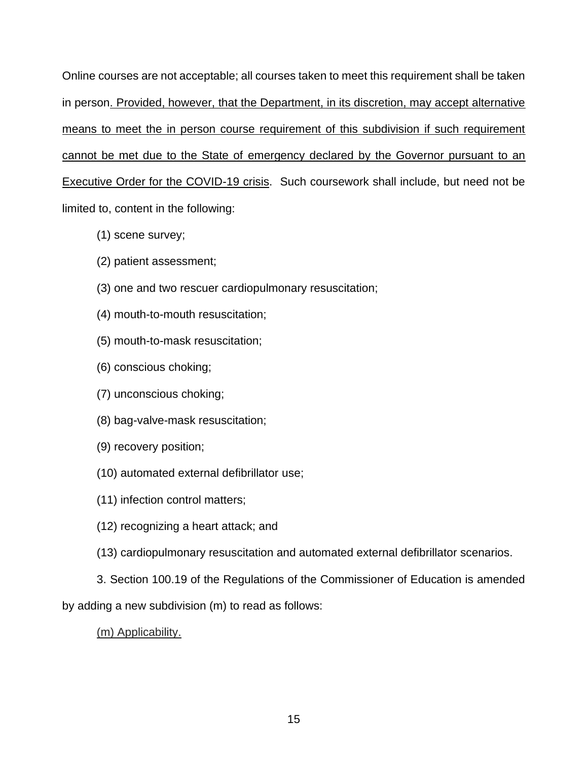Online courses are not acceptable; all courses taken to meet this requirement shall be taken in person. Provided, however, that the Department, in its discretion, may accept alternative means to meet the in person course requirement of this subdivision if such requirement cannot be met due to the State of emergency declared by the Governor pursuant to an Executive Order for the COVID-19 crisis. Such coursework shall include, but need not be limited to, content in the following:

- (1) scene survey;
- (2) patient assessment;
- (3) one and two rescuer cardiopulmonary resuscitation;
- (4) mouth-to-mouth resuscitation;
- (5) mouth-to-mask resuscitation;
- (6) conscious choking;
- (7) unconscious choking;
- (8) bag-valve-mask resuscitation;
- (9) recovery position;
- (10) automated external defibrillator use;
- (11) infection control matters;
- (12) recognizing a heart attack; and
- (13) cardiopulmonary resuscitation and automated external defibrillator scenarios.
- 3. Section 100.19 of the Regulations of the Commissioner of Education is amended

by adding a new subdivision (m) to read as follows:

(m) Applicability.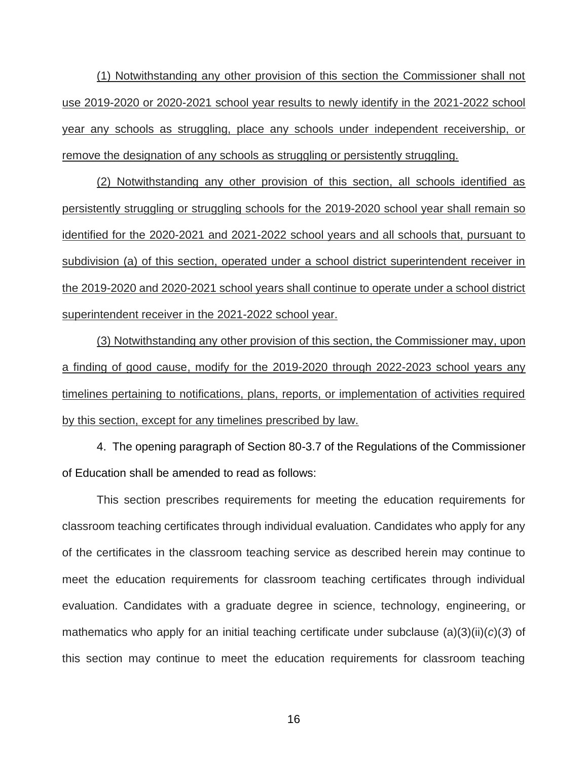(1) Notwithstanding any other provision of this section the Commissioner shall not use 2019-2020 or 2020-2021 school year results to newly identify in the 2021-2022 school year any schools as struggling, place any schools under independent receivership, or remove the designation of any schools as struggling or persistently struggling.

(2) Notwithstanding any other provision of this section, all schools identified as persistently struggling or struggling schools for the 2019-2020 school year shall remain so identified for the 2020-2021 and 2021-2022 school years and all schools that, pursuant to subdivision (a) of this section, operated under a school district superintendent receiver in the 2019-2020 and 2020-2021 school years shall continue to operate under a school district superintendent receiver in the 2021-2022 school year.

(3) Notwithstanding any other provision of this section, the Commissioner may, upon a finding of good cause, modify for the 2019-2020 through 2022-2023 school years any timelines pertaining to notifications, plans, reports, or implementation of activities required by this section, except for any timelines prescribed by law.

4. The opening paragraph of Section 80-3.7 of the Regulations of the Commissioner of Education shall be amended to read as follows:

This section prescribes requirements for meeting the education requirements for classroom teaching certificates through individual evaluation. Candidates who apply for any of the certificates in the classroom teaching service as described herein may continue to meet the education requirements for classroom teaching certificates through individual evaluation. Candidates with a graduate degree in science, technology, engineering, or mathematics who apply for an initial teaching certificate under subclause (a)(3)(ii)(*c*)(*3*) of this section may continue to meet the education requirements for classroom teaching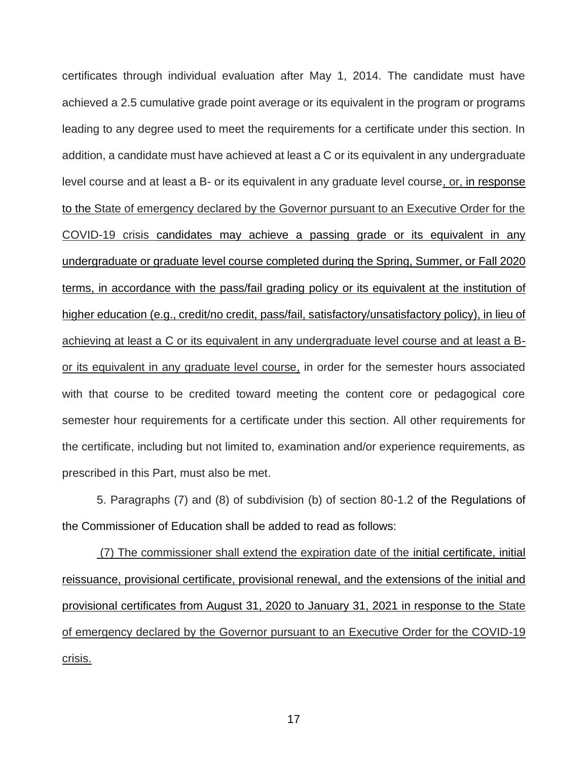certificates through individual evaluation after May 1, 2014. The candidate must have achieved a 2.5 cumulative grade point average or its equivalent in the program or programs leading to any degree used to meet the requirements for a certificate under this section. In addition, a candidate must have achieved at least a C or its equivalent in any undergraduate level course and at least a B- or its equivalent in any graduate level course, or, in response to the State of emergency declared by the Governor pursuant to an Executive Order for the COVID-19 crisis candidates may achieve a passing grade or its equivalent in any undergraduate or graduate level course completed during the Spring, Summer, or Fall 2020 terms, in accordance with the pass/fail grading policy or its equivalent at the institution of higher education (e.g., credit/no credit, pass/fail, satisfactory/unsatisfactory policy), in lieu of achieving at least a C or its equivalent in any undergraduate level course and at least a Bor its equivalent in any graduate level course, in order for the semester hours associated with that course to be credited toward meeting the content core or pedagogical core semester hour requirements for a certificate under this section. All other requirements for the certificate, including but not limited to, examination and/or experience requirements, as prescribed in this Part, must also be met.

5. Paragraphs (7) and (8) of subdivision (b) of section 80-1.2 of the Regulations of the Commissioner of Education shall be added to read as follows:

(7) The commissioner shall extend the expiration date of the initial certificate, initial reissuance, provisional certificate, provisional renewal, and the extensions of the initial and provisional certificates from August 31, 2020 to January 31, 2021 in response to the State of emergency declared by the Governor pursuant to an Executive Order for the COVID-19 crisis.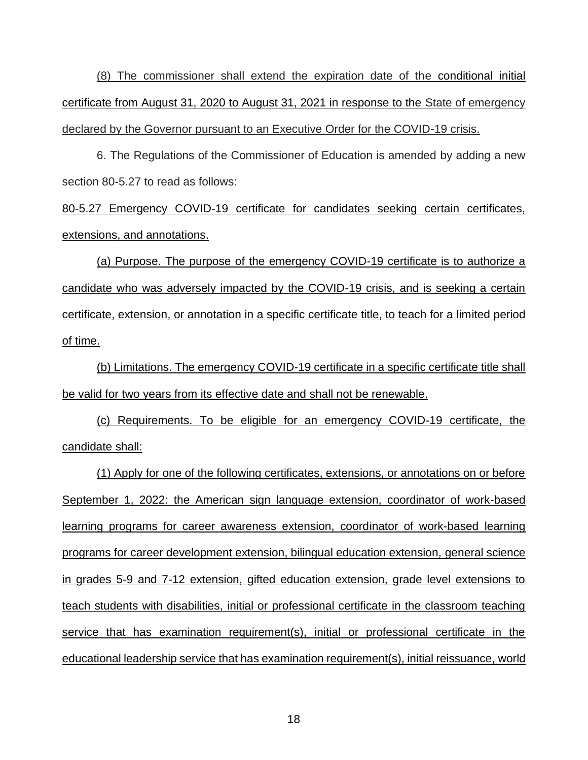(8) The commissioner shall extend the expiration date of the conditional initial certificate from August 31, 2020 to August 31, 2021 in response to the State of emergency declared by the Governor pursuant to an Executive Order for the COVID-19 crisis.

6. The Regulations of the Commissioner of Education is amended by adding a new section 80-5.27 to read as follows:

80-5.27 Emergency COVID-19 certificate for candidates seeking certain certificates, extensions, and annotations.

(a) Purpose. The purpose of the emergency COVID-19 certificate is to authorize a candidate who was adversely impacted by the COVID-19 crisis, and is seeking a certain certificate, extension, or annotation in a specific certificate title, to teach for a limited period of time.

(b) Limitations. The emergency COVID-19 certificate in a specific certificate title shall be valid for two years from its effective date and shall not be renewable.

(c) Requirements. To be eligible for an emergency COVID-19 certificate, the candidate shall:

(1) Apply for one of the following certificates, extensions, or annotations on or before September 1, 2022: the American sign language extension, coordinator of work-based learning programs for career awareness extension, coordinator of work-based learning programs for career development extension, bilingual education extension, general science in grades 5-9 and 7-12 extension, gifted education extension, grade level extensions to teach students with disabilities, initial or professional certificate in the classroom teaching service that has examination requirement(s), initial or professional certificate in the educational leadership service that has examination requirement(s), initial reissuance, world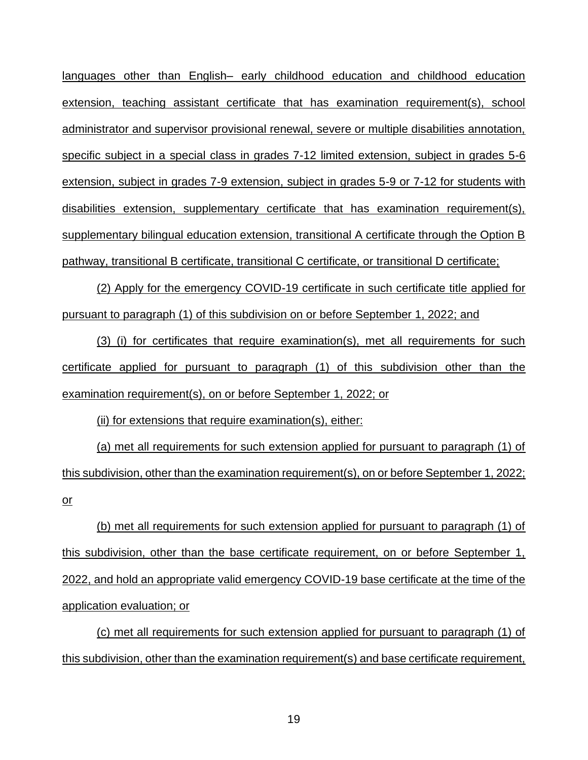languages other than English– early childhood education and childhood education extension, teaching assistant certificate that has examination requirement(s), school administrator and supervisor provisional renewal, severe or multiple disabilities annotation, specific subject in a special class in grades 7-12 limited extension, subject in grades 5-6 extension, subject in grades 7-9 extension, subject in grades 5-9 or 7-12 for students with disabilities extension, supplementary certificate that has examination requirement(s), supplementary bilingual education extension, transitional A certificate through the Option B pathway, transitional B certificate, transitional C certificate, or transitional D certificate;

(2) Apply for the emergency COVID-19 certificate in such certificate title applied for pursuant to paragraph (1) of this subdivision on or before September 1, 2022; and

(3) (i) for certificates that require examination(s), met all requirements for such certificate applied for pursuant to paragraph (1) of this subdivision other than the examination requirement(s), on or before September 1, 2022; or

(ii) for extensions that require examination(s), either:

(a) met all requirements for such extension applied for pursuant to paragraph (1) of this subdivision, other than the examination requirement(s), on or before September 1, 2022; or

(b) met all requirements for such extension applied for pursuant to paragraph (1) of this subdivision, other than the base certificate requirement, on or before September 1, 2022, and hold an appropriate valid emergency COVID-19 base certificate at the time of the application evaluation; or

(c) met all requirements for such extension applied for pursuant to paragraph (1) of this subdivision, other than the examination requirement(s) and base certificate requirement,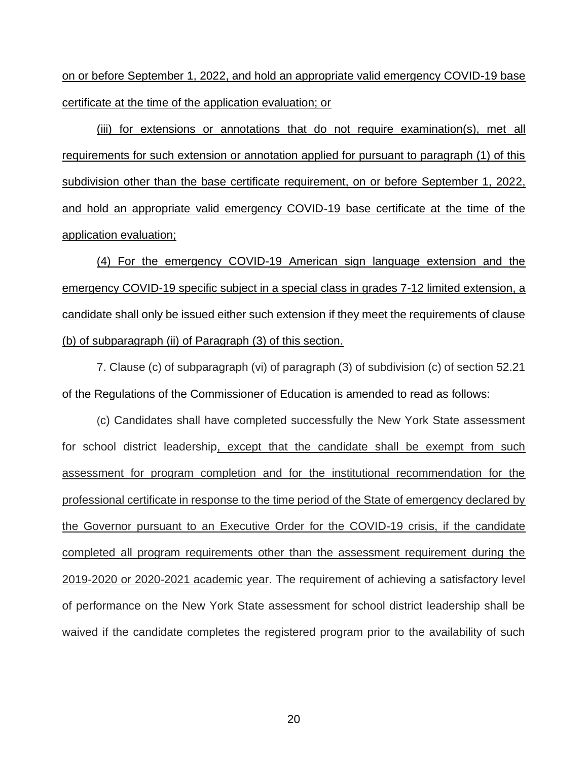on or before September 1, 2022, and hold an appropriate valid emergency COVID-19 base certificate at the time of the application evaluation; or

(iii) for extensions or annotations that do not require examination(s), met all requirements for such extension or annotation applied for pursuant to paragraph (1) of this subdivision other than the base certificate requirement, on or before September 1, 2022, and hold an appropriate valid emergency COVID-19 base certificate at the time of the application evaluation;

(4) For the emergency COVID-19 American sign language extension and the emergency COVID-19 specific subject in a special class in grades 7-12 limited extension, a candidate shall only be issued either such extension if they meet the requirements of clause (b) of subparagraph (ii) of Paragraph (3) of this section.

7. Clause (c) of subparagraph (vi) of paragraph (3) of subdivision (c) of section 52.21 of the Regulations of the Commissioner of Education is amended to read as follows:

(c) Candidates shall have completed successfully the New York State assessment for school district leadership, except that the candidate shall be exempt from such assessment for program completion and for the institutional recommendation for the professional certificate in response to the time period of the State of emergency declared by the Governor pursuant to an Executive Order for the COVID-19 crisis, if the candidate completed all program requirements other than the assessment requirement during the 2019-2020 or 2020-2021 academic year. The requirement of achieving a satisfactory level of performance on the New York State assessment for school district leadership shall be waived if the candidate completes the registered program prior to the availability of such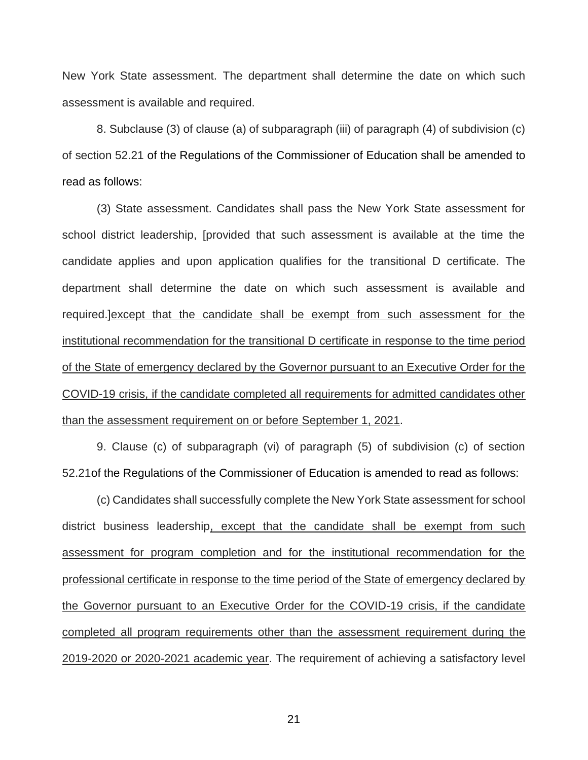New York State assessment. The department shall determine the date on which such assessment is available and required.

8. Subclause (3) of clause (a) of subparagraph (iii) of paragraph (4) of subdivision (c) of section 52.21 of the Regulations of the Commissioner of Education shall be amended to read as follows:

(3) State assessment. Candidates shall pass the New York State assessment for school district leadership, [provided that such assessment is available at the time the candidate applies and upon application qualifies for the transitional D certificate. The department shall determine the date on which such assessment is available and required.]except that the candidate shall be exempt from such assessment for the institutional recommendation for the transitional D certificate in response to the time period of the State of emergency declared by the Governor pursuant to an Executive Order for the COVID-19 crisis, if the candidate completed all requirements for admitted candidates other than the assessment requirement on or before September 1, 2021.

9. Clause (c) of subparagraph (vi) of paragraph (5) of subdivision (c) of section 52.21of the Regulations of the Commissioner of Education is amended to read as follows:

(c) Candidates shall successfully complete the New York State assessment for school district business leadership, except that the candidate shall be exempt from such assessment for program completion and for the institutional recommendation for the professional certificate in response to the time period of the State of emergency declared by the Governor pursuant to an Executive Order for the COVID-19 crisis, if the candidate completed all program requirements other than the assessment requirement during the 2019-2020 or 2020-2021 academic year. The requirement of achieving a satisfactory level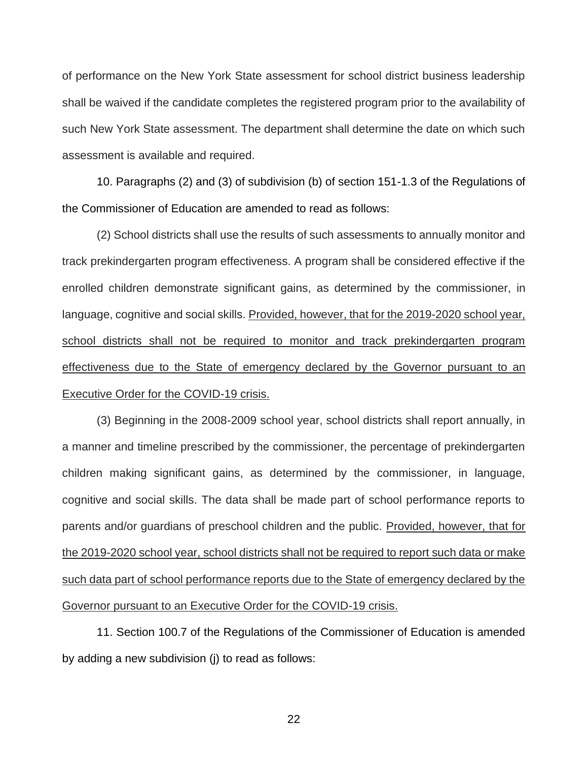of performance on the New York State assessment for school district business leadership shall be waived if the candidate completes the registered program prior to the availability of such New York State assessment. The department shall determine the date on which such assessment is available and required.

10. Paragraphs (2) and (3) of subdivision (b) of section 151-1.3 of the Regulations of the Commissioner of Education are amended to read as follows:

(2) School districts shall use the results of such assessments to annually monitor and track prekindergarten program effectiveness. A program shall be considered effective if the enrolled children demonstrate significant gains, as determined by the commissioner, in language, cognitive and social skills. Provided, however, that for the 2019-2020 school year, school districts shall not be required to monitor and track prekindergarten program effectiveness due to the State of emergency declared by the Governor pursuant to an Executive Order for the COVID-19 crisis.

(3) Beginning in the 2008-2009 school year, school districts shall report annually, in a manner and timeline prescribed by the commissioner, the percentage of prekindergarten children making significant gains, as determined by the commissioner, in language, cognitive and social skills. The data shall be made part of school performance reports to parents and/or guardians of preschool children and the public. Provided, however, that for the 2019-2020 school year, school districts shall not be required to report such data or make such data part of school performance reports due to the State of emergency declared by the Governor pursuant to an Executive Order for the COVID-19 crisis.

11. Section 100.7 of the Regulations of the Commissioner of Education is amended by adding a new subdivision (j) to read as follows: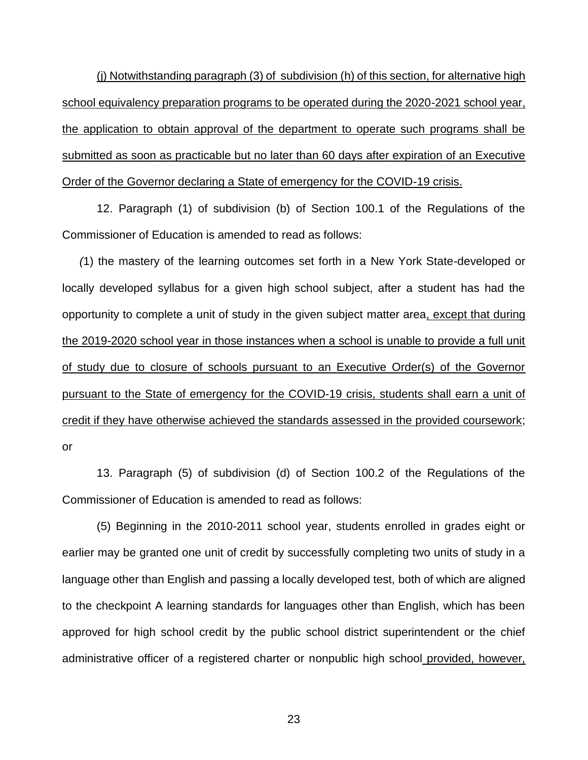(j) Notwithstanding paragraph (3) of subdivision (h) of this section, for alternative high school equivalency preparation programs to be operated during the 2020-2021 school year, the application to obtain approval of the department to operate such programs shall be submitted as soon as practicable but no later than 60 days after expiration of an Executive Order of the Governor declaring a State of emergency for the COVID-19 crisis.

12. Paragraph (1) of subdivision (b) of Section 100.1 of the Regulations of the Commissioner of Education is amended to read as follows:

*(*1) the mastery of the learning outcomes set forth in a New York State-developed or locally developed syllabus for a given high school subject, after a student has had the opportunity to complete a unit of study in the given subject matter area, except that during the 2019-2020 school year in those instances when a school is unable to provide a full unit of study due to closure of schools pursuant to an Executive Order(s) of the Governor pursuant to the State of emergency for the COVID-19 crisis, students shall earn a unit of credit if they have otherwise achieved the standards assessed in the provided coursework; or

13. Paragraph (5) of subdivision (d) of Section 100.2 of the Regulations of the Commissioner of Education is amended to read as follows:

(5) Beginning in the 2010-2011 school year, students enrolled in grades eight or earlier may be granted one unit of credit by successfully completing two units of study in a language other than English and passing a locally developed test, both of which are aligned to the checkpoint A learning standards for languages other than English, which has been approved for high school credit by the public school district superintendent or the chief administrative officer of a registered charter or nonpublic high school provided, however,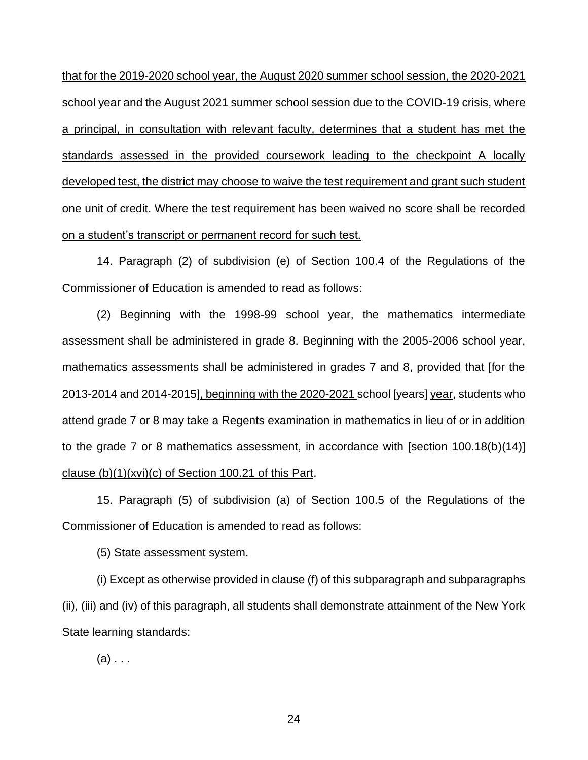that for the 2019-2020 school year, the August 2020 summer school session, the 2020-2021 school year and the August 2021 summer school session due to the COVID-19 crisis, where a principal, in consultation with relevant faculty, determines that a student has met the standards assessed in the provided coursework leading to the checkpoint A locally developed test, the district may choose to waive the test requirement and grant such student one unit of credit. Where the test requirement has been waived no score shall be recorded on a student's transcript or permanent record for such test.

14. Paragraph (2) of subdivision (e) of Section 100.4 of the Regulations of the Commissioner of Education is amended to read as follows:

(2) Beginning with the 1998-99 school year, the mathematics intermediate assessment shall be administered in grade 8. Beginning with the 2005-2006 school year, mathematics assessments shall be administered in grades 7 and 8, provided that [for the 2013-2014 and 2014-2015], beginning with the 2020-2021 school [years] year, students who attend grade 7 or 8 may take a Regents examination in mathematics in lieu of or in addition to the grade 7 or 8 mathematics assessment, in accordance with [section 100.18(b)(14)] clause (b)(1)(xvi)(c) of Section 100.21 of this Part.

15. Paragraph (5) of subdivision (a) of Section 100.5 of the Regulations of the Commissioner of Education is amended to read as follows:

(5) State assessment system.

(i) Except as otherwise provided in clause (f) of this subparagraph and subparagraphs (ii), (iii) and (iv) of this paragraph, all students shall demonstrate attainment of the New York State learning standards:

 $(a) \ldots$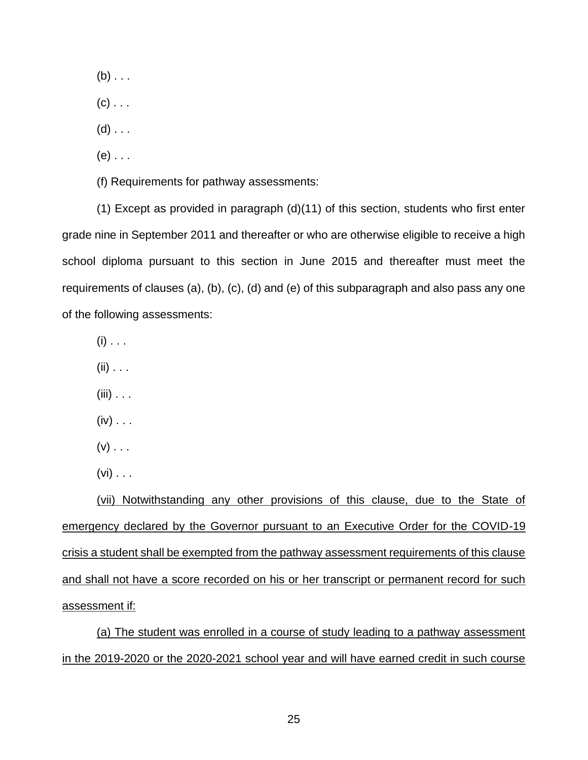$(b)$  . . .

 $(c)$  . . .

 $(d)$  . . .

 $(e)$  . . .

(f) Requirements for pathway assessments:

(1) Except as provided in paragraph (d)(11) of this section, students who first enter grade nine in September 2011 and thereafter or who are otherwise eligible to receive a high school diploma pursuant to this section in June 2015 and thereafter must meet the requirements of clauses (a), (b), (c), (d) and (e) of this subparagraph and also pass any one of the following assessments:

 $(i)$  . . .

 $(ii)$  . . .

 $(iii)$  . . .

 $(iv) \ldots$ 

 $(v)$  . . .

 $(vi)$  . . .

(vii) Notwithstanding any other provisions of this clause, due to the State of emergency declared by the Governor pursuant to an Executive Order for the COVID-19 crisis a student shall be exempted from the pathway assessment requirements of this clause and shall not have a score recorded on his or her transcript or permanent record for such assessment if:

(a) The student was enrolled in a course of study leading to a pathway assessment in the 2019-2020 or the 2020-2021 school year and will have earned credit in such course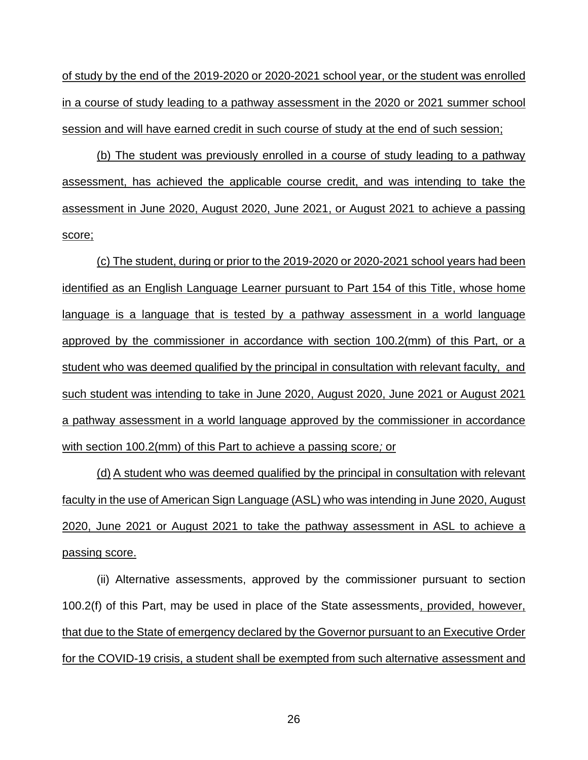of study by the end of the 2019-2020 or 2020-2021 school year, or the student was enrolled in a course of study leading to a pathway assessment in the 2020 or 2021 summer school session and will have earned credit in such course of study at the end of such session;

(b) The student was previously enrolled in a course of study leading to a pathway assessment, has achieved the applicable course credit, and was intending to take the assessment in June 2020, August 2020, June 2021, or August 2021 to achieve a passing score;

(c) The student, during or prior to the 2019-2020 or 2020-2021 school years had been identified as an English Language Learner pursuant to Part 154 of this Title, whose home language is a language that is tested by a pathway assessment in a world language approved by the commissioner in accordance with section 100.2(mm) of this Part, or a student who was deemed qualified by the principal in consultation with relevant faculty, and such student was intending to take in June 2020, August 2020, June 2021 or August 2021 a pathway assessment in a world language approved by the commissioner in accordance with section 100.2(mm) of this Part to achieve a passing score*;* or

(d) A student who was deemed qualified by the principal in consultation with relevant faculty in the use of American Sign Language (ASL) who was intending in June 2020, August 2020, June 2021 or August 2021 to take the pathway assessment in ASL to achieve a passing score.

(ii) Alternative assessments, approved by the commissioner pursuant to section 100.2(f) of this Part, may be used in place of the State assessments, provided, however, that due to the State of emergency declared by the Governor pursuant to an Executive Order for the COVID-19 crisis, a student shall be exempted from such alternative assessment and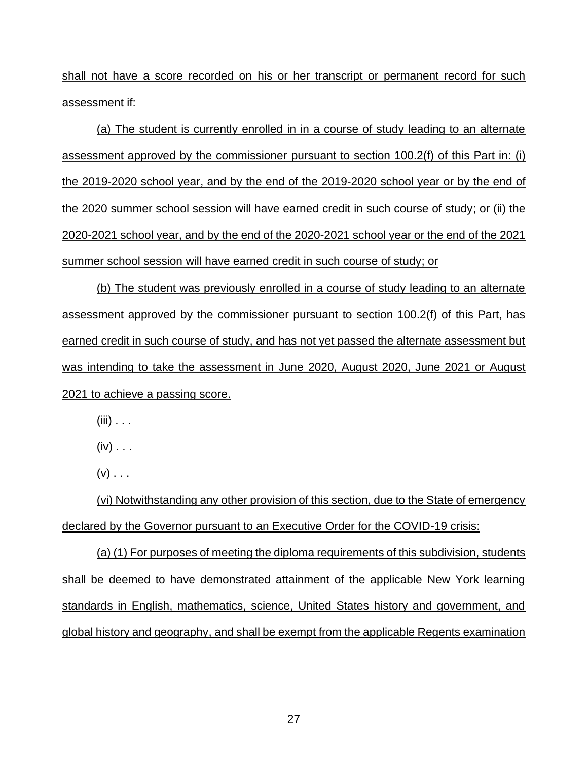shall not have a score recorded on his or her transcript or permanent record for such assessment if:

(a) The student is currently enrolled in in a course of study leading to an alternate assessment approved by the commissioner pursuant to section 100.2(f) of this Part in: (i) the 2019-2020 school year, and by the end of the 2019-2020 school year or by the end of the 2020 summer school session will have earned credit in such course of study; or (ii) the 2020-2021 school year, and by the end of the 2020-2021 school year or the end of the 2021 summer school session will have earned credit in such course of study; or

(b) The student was previously enrolled in a course of study leading to an alternate assessment approved by the commissioner pursuant to section 100.2(f) of this Part, has earned credit in such course of study, and has not yet passed the alternate assessment but was intending to take the assessment in June 2020, August 2020, June 2021 or August 2021 to achieve a passing score.

 $(iii)$  . . .

 $(iv) \ldots$ 

 $(V)$  . . .

(vi) Notwithstanding any other provision of this section, due to the State of emergency declared by the Governor pursuant to an Executive Order for the COVID-19 crisis:

(a) (1) For purposes of meeting the diploma requirements of this subdivision, students shall be deemed to have demonstrated attainment of the applicable New York learning standards in English, mathematics, science, United States history and government, and global history and geography, and shall be exempt from the applicable Regents examination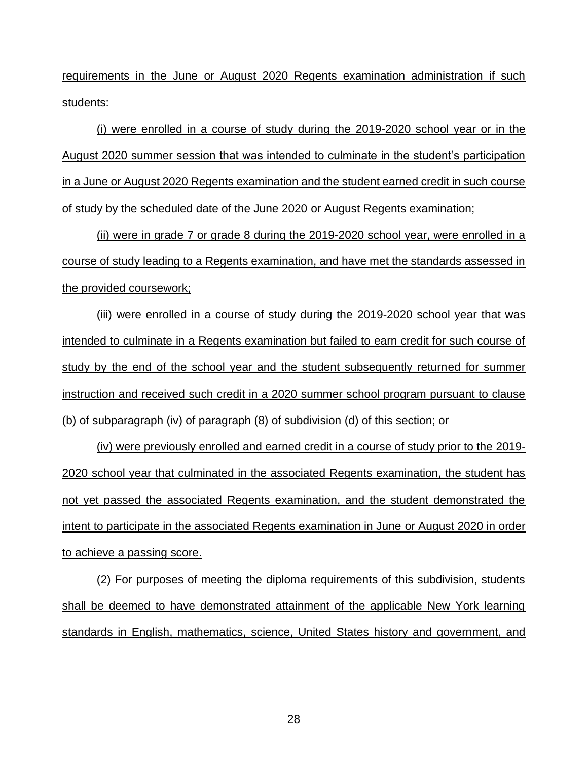requirements in the June or August 2020 Regents examination administration if such students:

(i) were enrolled in a course of study during the 2019-2020 school year or in the August 2020 summer session that was intended to culminate in the student's participation in a June or August 2020 Regents examination and the student earned credit in such course of study by the scheduled date of the June 2020 or August Regents examination;

(ii) were in grade 7 or grade 8 during the 2019-2020 school year, were enrolled in a course of study leading to a Regents examination, and have met the standards assessed in the provided coursework;

(iii) were enrolled in a course of study during the 2019-2020 school year that was intended to culminate in a Regents examination but failed to earn credit for such course of study by the end of the school year and the student subsequently returned for summer instruction and received such credit in a 2020 summer school program pursuant to clause (b) of subparagraph (iv) of paragraph (8) of subdivision (d) of this section; or

(iv) were previously enrolled and earned credit in a course of study prior to the 2019- 2020 school year that culminated in the associated Regents examination, the student has not yet passed the associated Regents examination, and the student demonstrated the intent to participate in the associated Regents examination in June or August 2020 in order to achieve a passing score.

(2) For purposes of meeting the diploma requirements of this subdivision, students shall be deemed to have demonstrated attainment of the applicable New York learning standards in English, mathematics, science, United States history and government, and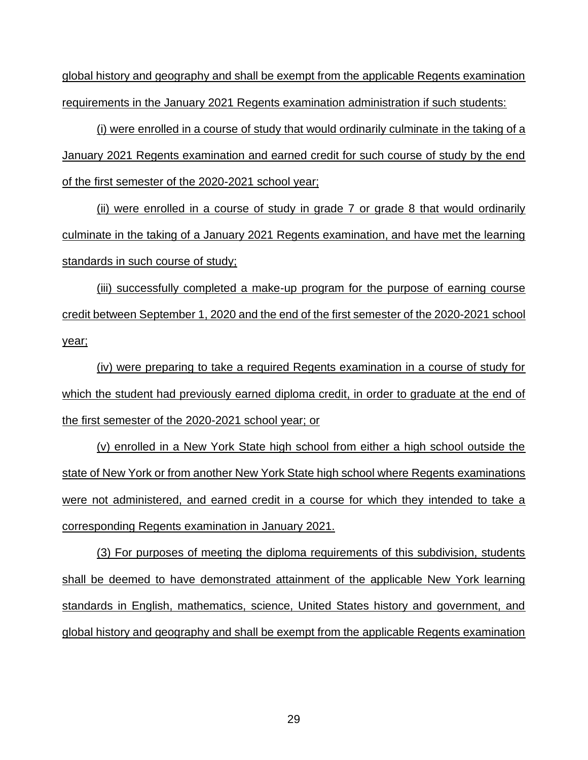global history and geography and shall be exempt from the applicable Regents examination requirements in the January 2021 Regents examination administration if such students:

(i) were enrolled in a course of study that would ordinarily culminate in the taking of a January 2021 Regents examination and earned credit for such course of study by the end of the first semester of the 2020-2021 school year;

(ii) were enrolled in a course of study in grade 7 or grade 8 that would ordinarily culminate in the taking of a January 2021 Regents examination, and have met the learning standards in such course of study;

(iii) successfully completed a make-up program for the purpose of earning course credit between September 1, 2020 and the end of the first semester of the 2020-2021 school year;

(iv) were preparing to take a required Regents examination in a course of study for which the student had previously earned diploma credit, in order to graduate at the end of the first semester of the 2020-2021 school year; or

(v) enrolled in a New York State high school from either a high school outside the state of New York or from another New York State high school where Regents examinations were not administered, and earned credit in a course for which they intended to take a corresponding Regents examination in January 2021.

(3) For purposes of meeting the diploma requirements of this subdivision, students shall be deemed to have demonstrated attainment of the applicable New York learning standards in English, mathematics, science, United States history and government, and global history and geography and shall be exempt from the applicable Regents examination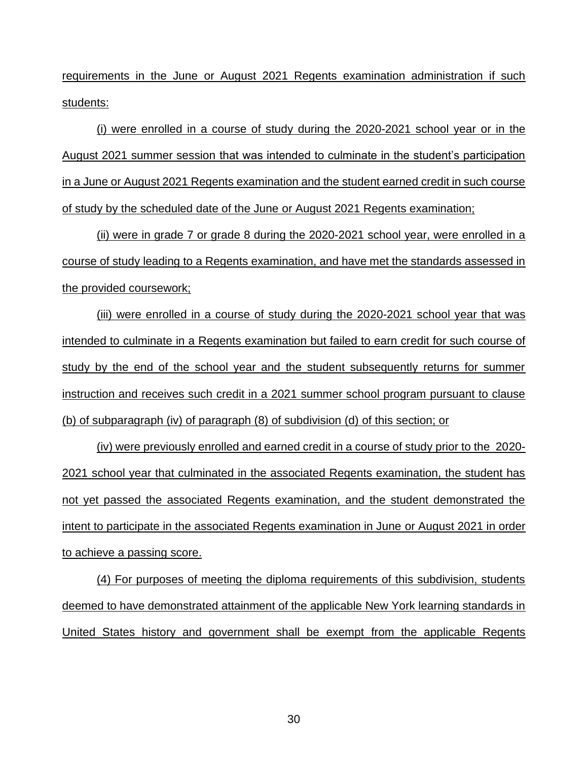requirements in the June or August 2021 Regents examination administration if such students:

(i) were enrolled in a course of study during the 2020-2021 school year or in the August 2021 summer session that was intended to culminate in the student's participation in a June or August 2021 Regents examination and the student earned credit in such course of study by the scheduled date of the June or August 2021 Regents examination;

(ii) were in grade 7 or grade 8 during the 2020-2021 school year, were enrolled in a course of study leading to a Regents examination, and have met the standards assessed in the provided coursework;

(iii) were enrolled in a course of study during the 2020-2021 school year that was intended to culminate in a Regents examination but failed to earn credit for such course of study by the end of the school year and the student subsequently returns for summer instruction and receives such credit in a 2021 summer school program pursuant to clause (b) of subparagraph (iv) of paragraph (8) of subdivision (d) of this section; or

(iv) were previously enrolled and earned credit in a course of study prior to the 2020- 2021 school year that culminated in the associated Regents examination, the student has not yet passed the associated Regents examination, and the student demonstrated the intent to participate in the associated Regents examination in June or August 2021 in order to achieve a passing score.

(4) For purposes of meeting the diploma requirements of this subdivision, students deemed to have demonstrated attainment of the applicable New York learning standards in United States history and government shall be exempt from the applicable Regents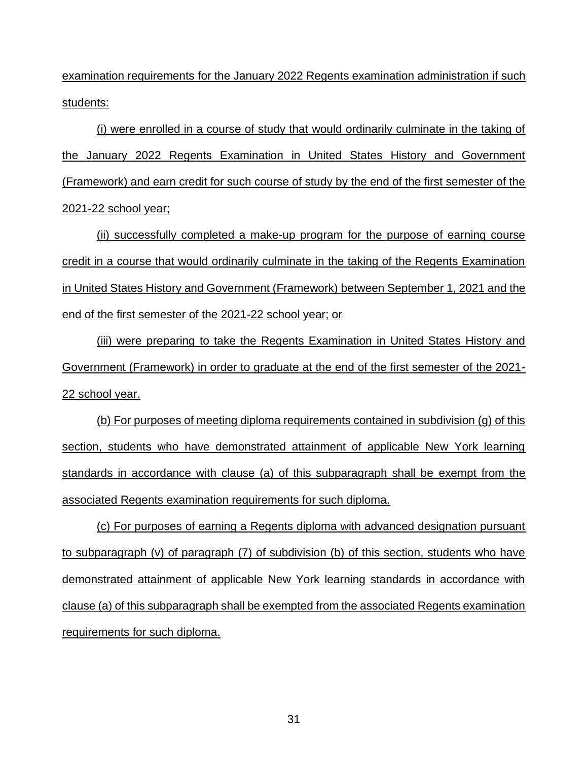examination requirements for the January 2022 Regents examination administration if such students:

(i) were enrolled in a course of study that would ordinarily culminate in the taking of the January 2022 Regents Examination in United States History and Government (Framework) and earn credit for such course of study by the end of the first semester of the 2021-22 school year;

(ii) successfully completed a make-up program for the purpose of earning course credit in a course that would ordinarily culminate in the taking of the Regents Examination in United States History and Government (Framework) between September 1, 2021 and the end of the first semester of the 2021-22 school year; or

(iii) were preparing to take the Regents Examination in United States History and Government (Framework) in order to graduate at the end of the first semester of the 2021- 22 school year.

(b) For purposes of meeting diploma requirements contained in subdivision (g) of this section, students who have demonstrated attainment of applicable New York learning standards in accordance with clause (a) of this subparagraph shall be exempt from the associated Regents examination requirements for such diploma.

(c) For purposes of earning a Regents diploma with advanced designation pursuant to subparagraph (v) of paragraph (7) of subdivision (b) of this section, students who have demonstrated attainment of applicable New York learning standards in accordance with clause (a) of this subparagraph shall be exempted from the associated Regents examination requirements for such diploma.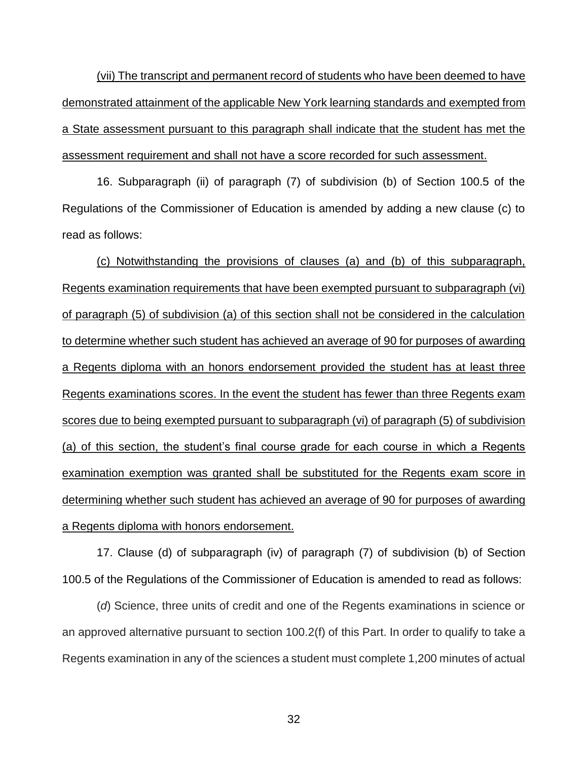(vii) The transcript and permanent record of students who have been deemed to have demonstrated attainment of the applicable New York learning standards and exempted from a State assessment pursuant to this paragraph shall indicate that the student has met the assessment requirement and shall not have a score recorded for such assessment.

16. Subparagraph (ii) of paragraph (7) of subdivision (b) of Section 100.5 of the Regulations of the Commissioner of Education is amended by adding a new clause (c) to read as follows:

(c) Notwithstanding the provisions of clauses (a) and (b) of this subparagraph, Regents examination requirements that have been exempted pursuant to subparagraph (vi) of paragraph (5) of subdivision (a) of this section shall not be considered in the calculation to determine whether such student has achieved an average of 90 for purposes of awarding a Regents diploma with an honors endorsement provided the student has at least three Regents examinations scores. In the event the student has fewer than three Regents exam scores due to being exempted pursuant to subparagraph (vi) of paragraph (5) of subdivision (a) of this section, the student's final course grade for each course in which a Regents examination exemption was granted shall be substituted for the Regents exam score in determining whether such student has achieved an average of 90 for purposes of awarding a Regents diploma with honors endorsement.

17. Clause (d) of subparagraph (iv) of paragraph (7) of subdivision (b) of Section 100.5 of the Regulations of the Commissioner of Education is amended to read as follows:

(*d*) Science, three units of credit and one of the Regents examinations in science or an approved alternative pursuant to section 100.2(f) of this Part. In order to qualify to take a Regents examination in any of the sciences a student must complete 1,200 minutes of actual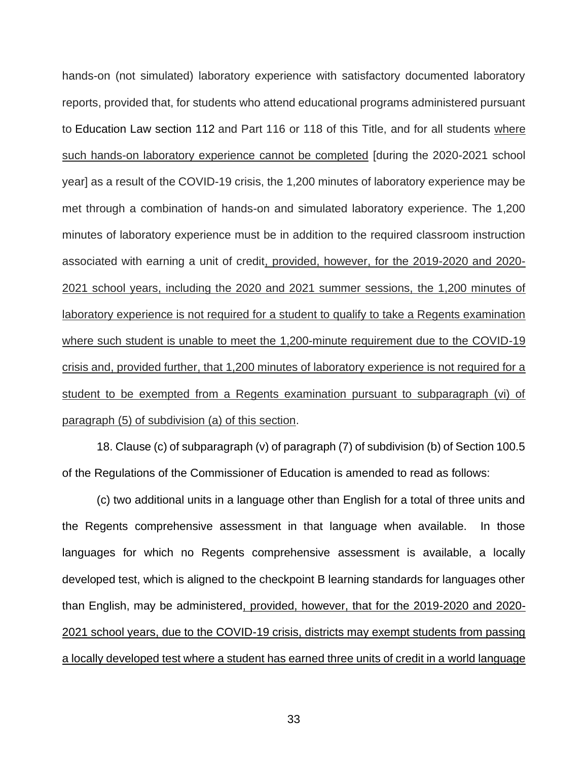hands-on (not simulated) laboratory experience with satisfactory documented laboratory reports, provided that, for students who attend educational programs administered pursuant to [Education Law section 112](https://1.next.westlaw.com/Link/Document/FullText?findType=L&pubNum=1000069&cite=NYEDS112&originatingDoc=I09D558F072EB11EBB6179D5E6644DEF2&refType=LQ&originationContext=document&transitionType=DocumentItem&contextData=(sc.Category)) and Part 116 or 118 of this Title, and for all students where such hands-on laboratory experience cannot be completed [during the 2020-2021 school year] as a result of the COVID-19 crisis, the 1,200 minutes of laboratory experience may be met through a combination of hands-on and simulated laboratory experience. The 1,200 minutes of laboratory experience must be in addition to the required classroom instruction associated with earning a unit of credit, provided, however, for the 2019-2020 and 2020- 2021 school years, including the 2020 and 2021 summer sessions, the 1,200 minutes of laboratory experience is not required for a student to qualify to take a Regents examination where such student is unable to meet the 1,200-minute requirement due to the COVID-19 crisis and, provided further, that 1,200 minutes of laboratory experience is not required for a student to be exempted from a Regents examination pursuant to subparagraph (vi) of paragraph (5) of subdivision (a) of this section.

18. Clause (c) of subparagraph (v) of paragraph (7) of subdivision (b) of Section 100.5 of the Regulations of the Commissioner of Education is amended to read as follows:

(c) two additional units in a language other than English for a total of three units and the Regents comprehensive assessment in that language when available. In those languages for which no Regents comprehensive assessment is available, a locally developed test, which is aligned to the checkpoint B learning standards for languages other than English, may be administered, provided, however, that for the 2019-2020 and 2020- 2021 school years, due to the COVID-19 crisis, districts may exempt students from passing a locally developed test where a student has earned three units of credit in a world language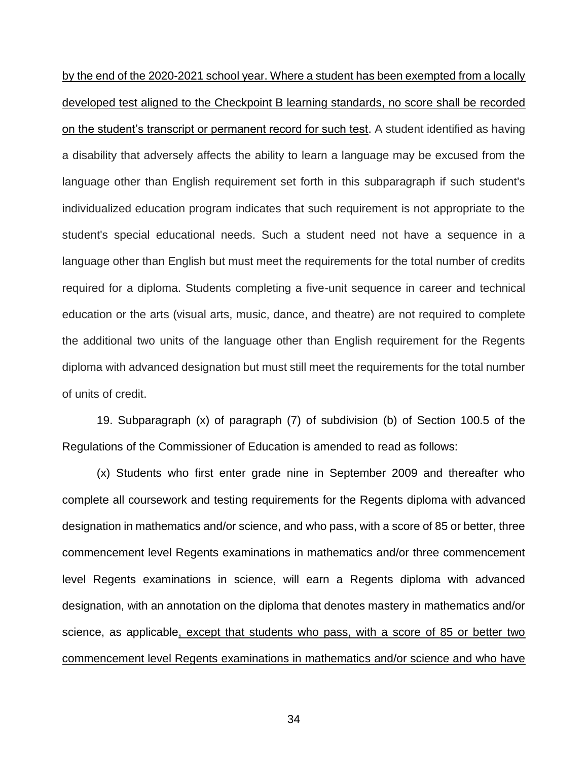by the end of the 2020-2021 school year. Where a student has been exempted from a locally developed test aligned to the Checkpoint B learning standards, no score shall be recorded on the student's transcript or permanent record for such test. A student identified as having a disability that adversely affects the ability to learn a language may be excused from the language other than English requirement set forth in this subparagraph if such student's individualized education program indicates that such requirement is not appropriate to the student's special educational needs. Such a student need not have a sequence in a language other than English but must meet the requirements for the total number of credits required for a diploma. Students completing a five-unit sequence in career and technical education or the arts (visual arts, music, dance, and theatre) are not required to complete the additional two units of the language other than English requirement for the Regents diploma with advanced designation but must still meet the requirements for the total number of units of credit.

19. Subparagraph (x) of paragraph (7) of subdivision (b) of Section 100.5 of the Regulations of the Commissioner of Education is amended to read as follows:

(x) Students who first enter grade nine in September 2009 and thereafter who complete all coursework and testing requirements for the Regents diploma with advanced designation in mathematics and/or science, and who pass, with a score of 85 or better, three commencement level Regents examinations in mathematics and/or three commencement level Regents examinations in science, will earn a Regents diploma with advanced designation, with an annotation on the diploma that denotes mastery in mathematics and/or science, as applicable, except that students who pass, with a score of 85 or better two commencement level Regents examinations in mathematics and/or science and who have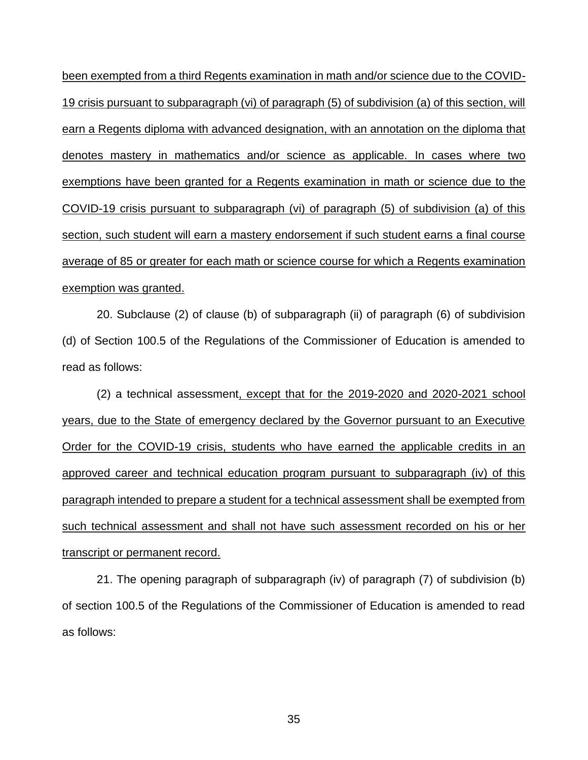been exempted from a third Regents examination in math and/or science due to the COVID-19 crisis pursuant to subparagraph (vi) of paragraph (5) of subdivision (a) of this section, will earn a Regents diploma with advanced designation, with an annotation on the diploma that denotes mastery in mathematics and/or science as applicable. In cases where two exemptions have been granted for a Regents examination in math or science due to the COVID-19 crisis pursuant to subparagraph (vi) of paragraph (5) of subdivision (a) of this section, such student will earn a mastery endorsement if such student earns a final course average of 85 or greater for each math or science course for which a Regents examination exemption was granted.

20. Subclause (2) of clause (b) of subparagraph (ii) of paragraph (6) of subdivision (d) of Section 100.5 of the Regulations of the Commissioner of Education is amended to read as follows:

(2) a technical assessment, except that for the 2019-2020 and 2020-2021 school years, due to the State of emergency declared by the Governor pursuant to an Executive Order for the COVID-19 crisis, students who have earned the applicable credits in an approved career and technical education program pursuant to subparagraph (iv) of this paragraph intended to prepare a student for a technical assessment shall be exempted from such technical assessment and shall not have such assessment recorded on his or her transcript or permanent record.

21. The opening paragraph of subparagraph (iv) of paragraph (7) of subdivision (b) of section 100.5 of the Regulations of the Commissioner of Education is amended to read as follows: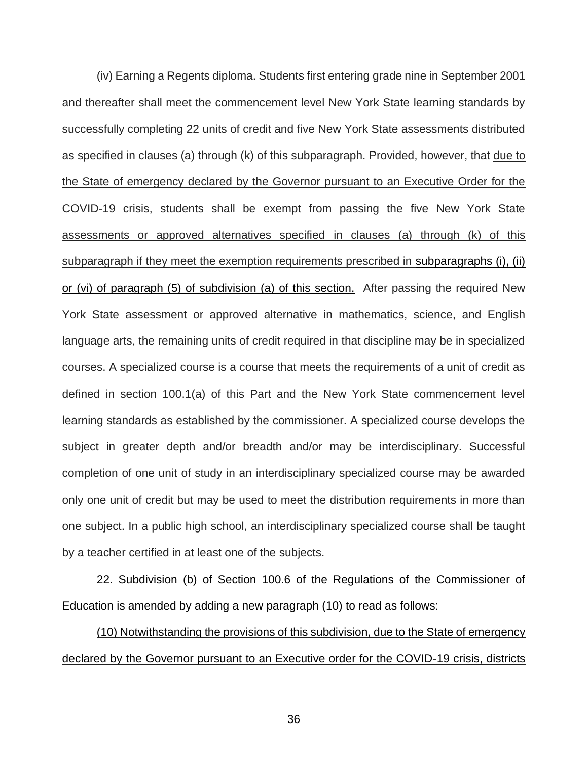(iv) Earning a Regents diploma. Students first entering grade nine in September 2001 and thereafter shall meet the commencement level New York State learning standards by successfully completing 22 units of credit and five New York State assessments distributed as specified in clauses (a) through (k) of this subparagraph. Provided, however, that due to the State of emergency declared by the Governor pursuant to an Executive Order for the COVID-19 crisis, students shall be exempt from passing the five New York State assessments or approved alternatives specified in clauses (a) through (k) of this subparagraph if they meet the exemption requirements prescribed in subparagraphs (i), (ii) or (vi) of paragraph (5) of subdivision (a) of this section. After passing the required New York State assessment or approved alternative in mathematics, science, and English language arts, the remaining units of credit required in that discipline may be in specialized courses. A specialized course is a course that meets the requirements of a unit of credit as defined in section 100.1(a) of this Part and the New York State commencement level learning standards as established by the commissioner. A specialized course develops the subject in greater depth and/or breadth and/or may be interdisciplinary. Successful completion of one unit of study in an interdisciplinary specialized course may be awarded only one unit of credit but may be used to meet the distribution requirements in more than one subject. In a public high school, an interdisciplinary specialized course shall be taught by a teacher certified in at least one of the subjects.

22. Subdivision (b) of Section 100.6 of the Regulations of the Commissioner of Education is amended by adding a new paragraph (10) to read as follows:

(10) Notwithstanding the provisions of this subdivision, due to the State of emergency declared by the Governor pursuant to an Executive order for the COVID-19 crisis, districts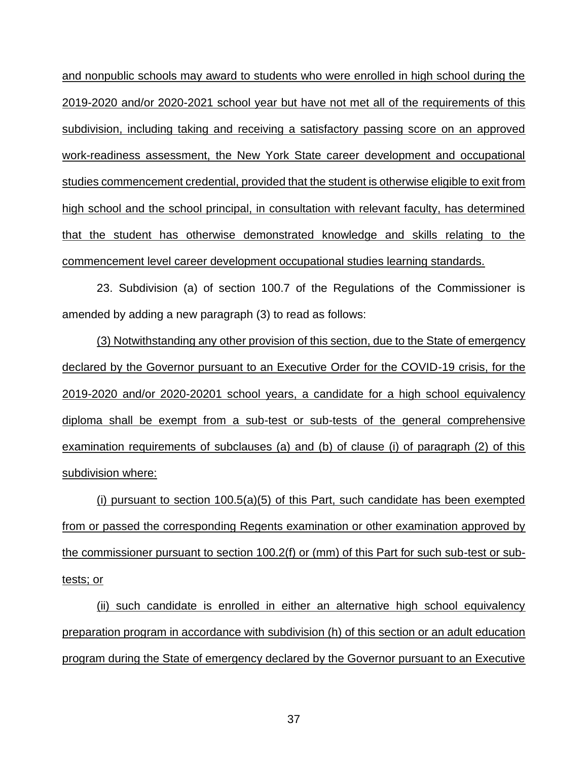and nonpublic schools may award to students who were enrolled in high school during the 2019-2020 and/or 2020-2021 school year but have not met all of the requirements of this subdivision, including taking and receiving a satisfactory passing score on an approved work-readiness assessment, the New York State career development and occupational studies commencement credential, provided that the student is otherwise eligible to exit from high school and the school principal, in consultation with relevant faculty, has determined that the student has otherwise demonstrated knowledge and skills relating to the commencement level career development occupational studies learning standards.

23. Subdivision (a) of section 100.7 of the Regulations of the Commissioner is amended by adding a new paragraph (3) to read as follows:

(3) Notwithstanding any other provision of this section, due to the State of emergency declared by the Governor pursuant to an Executive Order for the COVID-19 crisis, for the 2019-2020 and/or 2020-20201 school years, a candidate for a high school equivalency diploma shall be exempt from a sub-test or sub-tests of the general comprehensive examination requirements of subclauses (a) and (b) of clause (i) of paragraph (2) of this subdivision where:

(i) pursuant to section  $100.5(a)(5)$  of this Part, such candidate has been exempted from or passed the corresponding Regents examination or other examination approved by the commissioner pursuant to section 100.2(f) or (mm) of this Part for such sub-test or subtests; or

(ii) such candidate is enrolled in either an alternative high school equivalency preparation program in accordance with subdivision (h) of this section or an adult education program during the State of emergency declared by the Governor pursuant to an Executive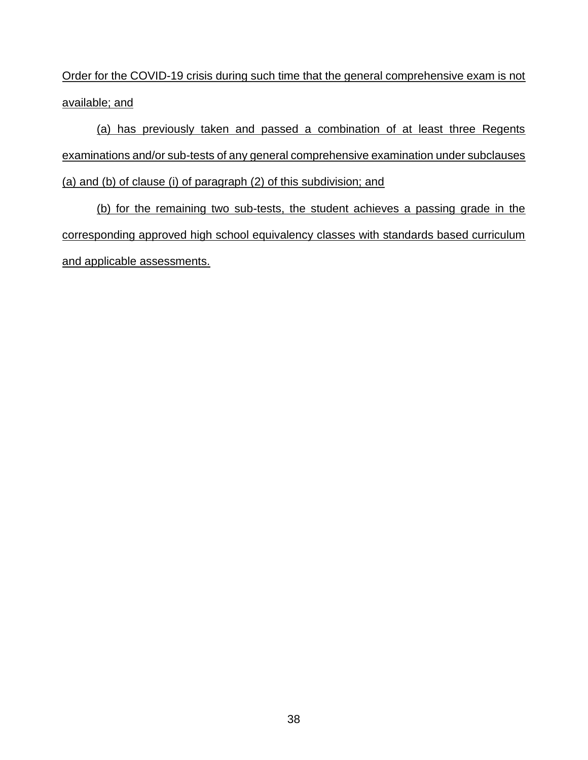Order for the COVID-19 crisis during such time that the general comprehensive exam is not available; and

(a) has previously taken and passed a combination of at least three Regents examinations and/or sub-tests of any general comprehensive examination under subclauses (a) and (b) of clause (i) of paragraph (2) of this subdivision; and

(b) for the remaining two sub-tests, the student achieves a passing grade in the corresponding approved high school equivalency classes with standards based curriculum and applicable assessments.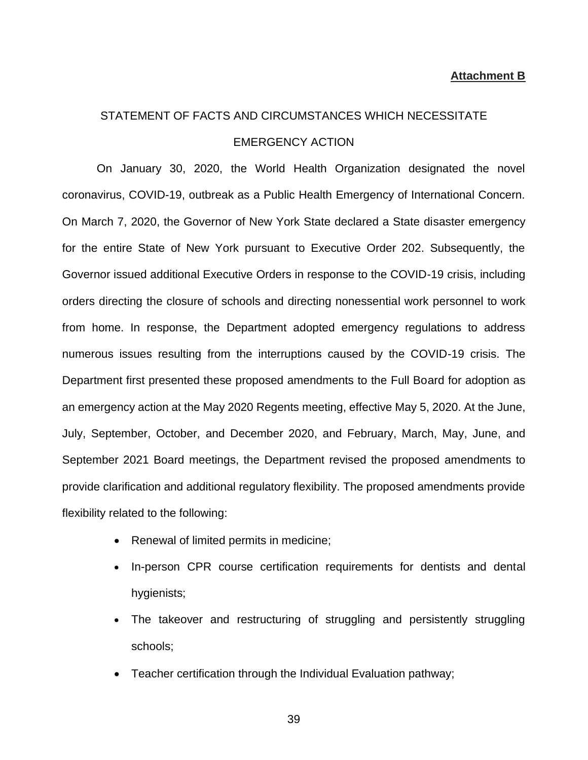#### **Attachment B**

# STATEMENT OF FACTS AND CIRCUMSTANCES WHICH NECESSITATE EMERGENCY ACTION

On January 30, 2020, the World Health Organization designated the novel coronavirus, COVID-19, outbreak as a Public Health Emergency of International Concern. On March 7, 2020, the Governor of New York State declared a State disaster emergency for the entire State of New York pursuant to Executive Order 202. Subsequently, the Governor issued additional Executive Orders in response to the COVID-19 crisis, including orders directing the closure of schools and directing nonessential work personnel to work from home. In response, the Department adopted emergency regulations to address numerous issues resulting from the interruptions caused by the COVID-19 crisis. The Department first presented these proposed amendments to the Full Board for adoption as an emergency action at the May 2020 Regents meeting, effective May 5, 2020. At the June, July, September, October, and December 2020, and February, March, May, June, and September 2021 Board meetings, the Department revised the proposed amendments to provide clarification and additional regulatory flexibility. The proposed amendments provide flexibility related to the following:

- Renewal of limited permits in medicine;
- In-person CPR course certification requirements for dentists and dental hygienists;
- The takeover and restructuring of struggling and persistently struggling schools;
- Teacher certification through the Individual Evaluation pathway;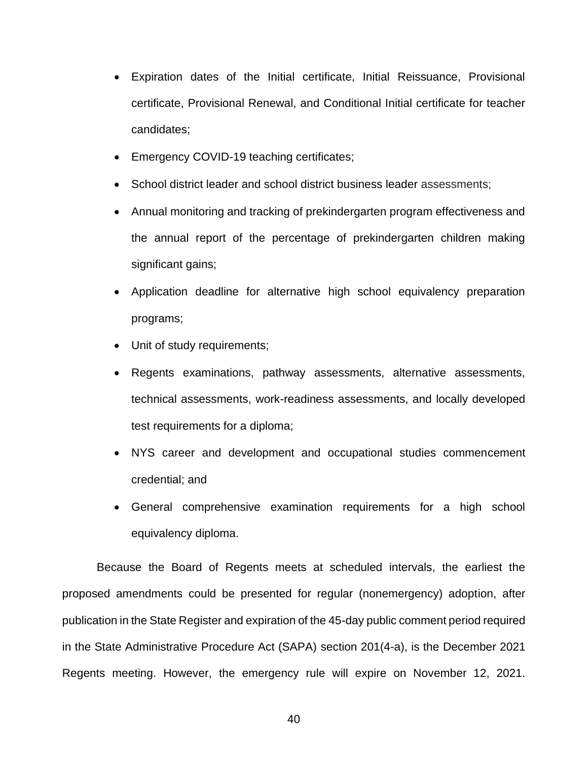- Expiration dates of the Initial certificate, Initial Reissuance, Provisional certificate, Provisional Renewal, and Conditional Initial certificate for teacher candidates;
- Emergency COVID-19 teaching certificates;
- School district leader and school district business leader assessments;
- Annual monitoring and tracking of prekindergarten program effectiveness and the annual report of the percentage of prekindergarten children making significant gains;
- Application deadline for alternative high school equivalency preparation programs;
- Unit of study requirements;
- Regents examinations, pathway assessments, alternative assessments, technical assessments, work-readiness assessments, and locally developed test requirements for a diploma;
- NYS career and development and occupational studies commencement credential; and
- General comprehensive examination requirements for a high school equivalency diploma.

Because the Board of Regents meets at scheduled intervals, the earliest the proposed amendments could be presented for regular (nonemergency) adoption, after publication in the State Register and expiration of the 45-day public comment period required in the State Administrative Procedure Act (SAPA) section 201(4-a), is the December 2021 Regents meeting. However, the emergency rule will expire on November 12, 2021.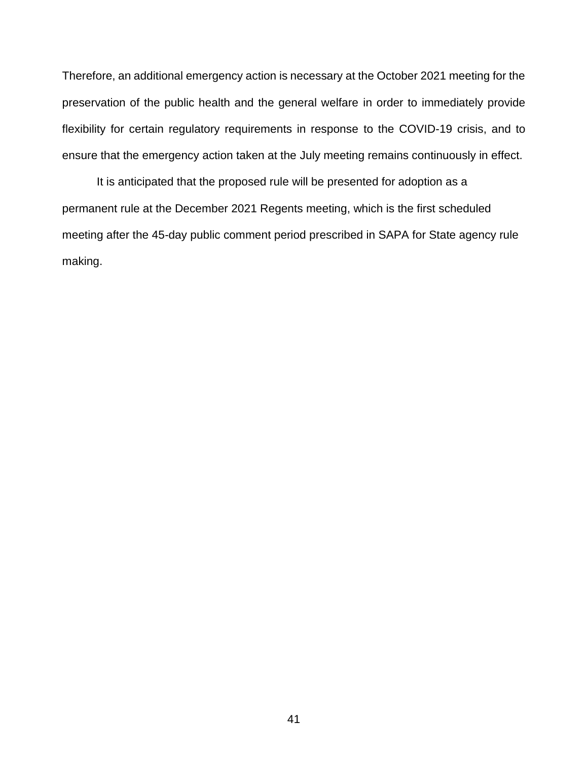Therefore, an additional emergency action is necessary at the October 2021 meeting for the preservation of the public health and the general welfare in order to immediately provide flexibility for certain regulatory requirements in response to the COVID-19 crisis, and to ensure that the emergency action taken at the July meeting remains continuously in effect.

It is anticipated that the proposed rule will be presented for adoption as a permanent rule at the December 2021 Regents meeting, which is the first scheduled meeting after the 45-day public comment period prescribed in SAPA for State agency rule making.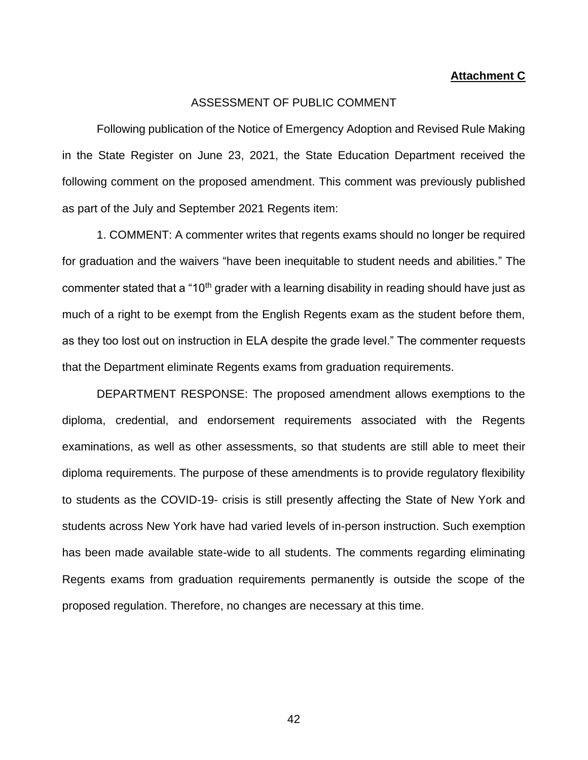#### **Attachment C**

#### ASSESSMENT OF PUBLIC COMMENT

Following publication of the Notice of Emergency Adoption and Revised Rule Making in the State Register on June 23, 2021, the State Education Department received the following comment on the proposed amendment. This comment was previously published as part of the July and September 2021 Regents item:

1. COMMENT: A commenter writes that regents exams should no longer be required for graduation and the waivers "have been inequitable to student needs and abilities." The commenter stated that a "10<sup>th</sup> grader with a learning disability in reading should have just as much of a right to be exempt from the English Regents exam as the student before them, as they too lost out on instruction in ELA despite the grade level." The commenter requests that the Department eliminate Regents exams from graduation requirements.

DEPARTMENT RESPONSE: The proposed amendment allows exemptions to the diploma, credential, and endorsement requirements associated with the Regents examinations, as well as other assessments, so that students are still able to meet their diploma requirements. The purpose of these amendments is to provide regulatory flexibility to students as the COVID-19- crisis is still presently affecting the State of New York and students across New York have had varied levels of in-person instruction. Such exemption has been made available state-wide to all students. The comments regarding eliminating Regents exams from graduation requirements permanently is outside the scope of the proposed regulation. Therefore, no changes are necessary at this time.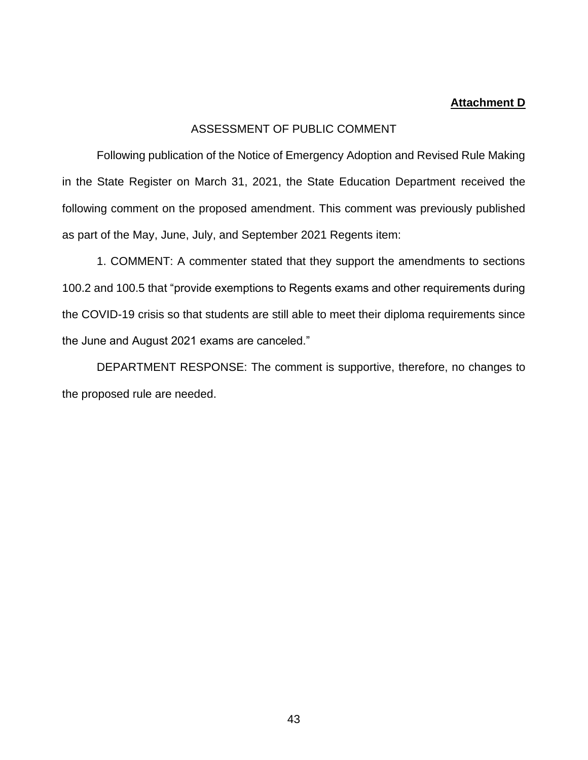#### **Attachment D**

### ASSESSMENT OF PUBLIC COMMENT

Following publication of the Notice of Emergency Adoption and Revised Rule Making in the State Register on March 31, 2021, the State Education Department received the following comment on the proposed amendment. This comment was previously published as part of the May, June, July, and September 2021 Regents item:

1. COMMENT: A commenter stated that they support the amendments to sections 100.2 and 100.5 that "provide exemptions to Regents exams and other requirements during the COVID-19 crisis so that students are still able to meet their diploma requirements since the June and August 2021 exams are canceled."

DEPARTMENT RESPONSE: The comment is supportive, therefore, no changes to the proposed rule are needed.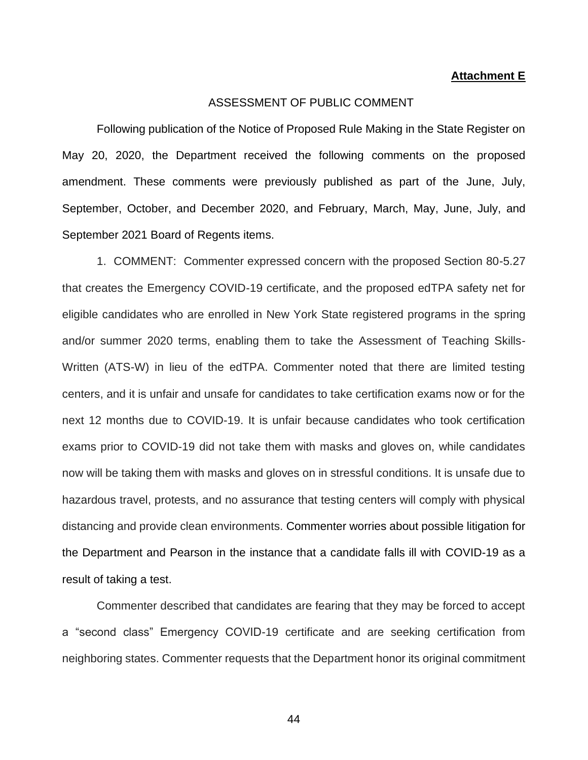#### **Attachment E**

#### ASSESSMENT OF PUBLIC COMMENT

Following publication of the Notice of Proposed Rule Making in the State Register on May 20, 2020, the Department received the following comments on the proposed amendment. These comments were previously published as part of the June, July, September, October, and December 2020, and February, March, May, June, July, and September 2021 Board of Regents items.

1. COMMENT: Commenter expressed concern with the proposed Section 80-5.27 that creates the Emergency COVID-19 certificate, and the proposed edTPA safety net for eligible candidates who are enrolled in New York State registered programs in the spring and/or summer 2020 terms, enabling them to take the Assessment of Teaching Skills-Written (ATS-W) in lieu of the edTPA. Commenter noted that there are limited testing centers, and it is unfair and unsafe for candidates to take certification exams now or for the next 12 months due to COVID-19. It is unfair because candidates who took certification exams prior to COVID-19 did not take them with masks and gloves on, while candidates now will be taking them with masks and gloves on in stressful conditions. It is unsafe due to hazardous travel, protests, and no assurance that testing centers will comply with physical distancing and provide clean environments. Commenter worries about possible litigation for the Department and Pearson in the instance that a candidate falls ill with COVID-19 as a result of taking a test.

Commenter described that candidates are fearing that they may be forced to accept a "second class" Emergency COVID-19 certificate and are seeking certification from neighboring states. Commenter requests that the Department honor its original commitment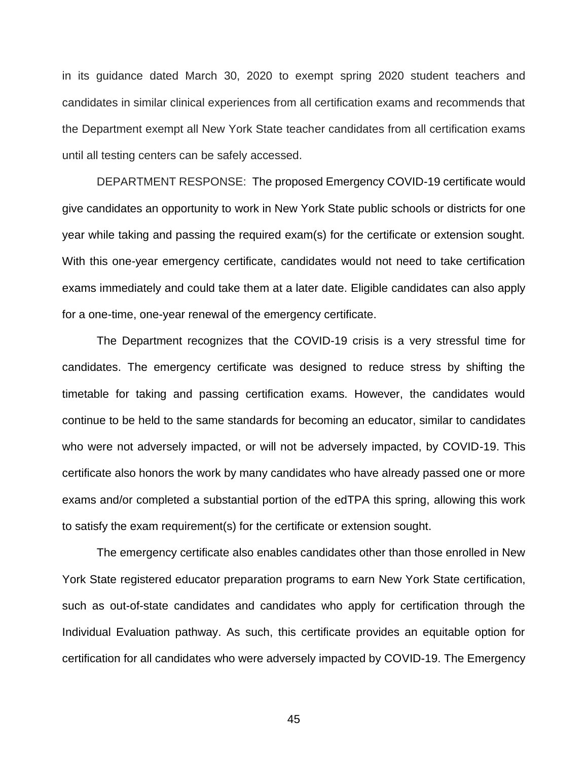in its guidance dated March 30, 2020 to exempt spring 2020 student teachers and candidates in similar clinical experiences from all certification exams and recommends that the Department exempt all New York State teacher candidates from all certification exams until all testing centers can be safely accessed.

DEPARTMENT RESPONSE: The proposed Emergency COVID-19 certificate would give candidates an opportunity to work in New York State public schools or districts for one year while taking and passing the required exam(s) for the certificate or extension sought. With this one-year emergency certificate, candidates would not need to take certification exams immediately and could take them at a later date. Eligible candidates can also apply for a one-time, one-year renewal of the emergency certificate.

The Department recognizes that the COVID-19 crisis is a very stressful time for candidates. The emergency certificate was designed to reduce stress by shifting the timetable for taking and passing certification exams. However, the candidates would continue to be held to the same standards for becoming an educator, similar to candidates who were not adversely impacted, or will not be adversely impacted, by COVID-19. This certificate also honors the work by many candidates who have already passed one or more exams and/or completed a substantial portion of the edTPA this spring, allowing this work to satisfy the exam requirement(s) for the certificate or extension sought.

The emergency certificate also enables candidates other than those enrolled in New York State registered educator preparation programs to earn New York State certification, such as out-of-state candidates and candidates who apply for certification through the Individual Evaluation pathway. As such, this certificate provides an equitable option for certification for all candidates who were adversely impacted by COVID-19. The Emergency